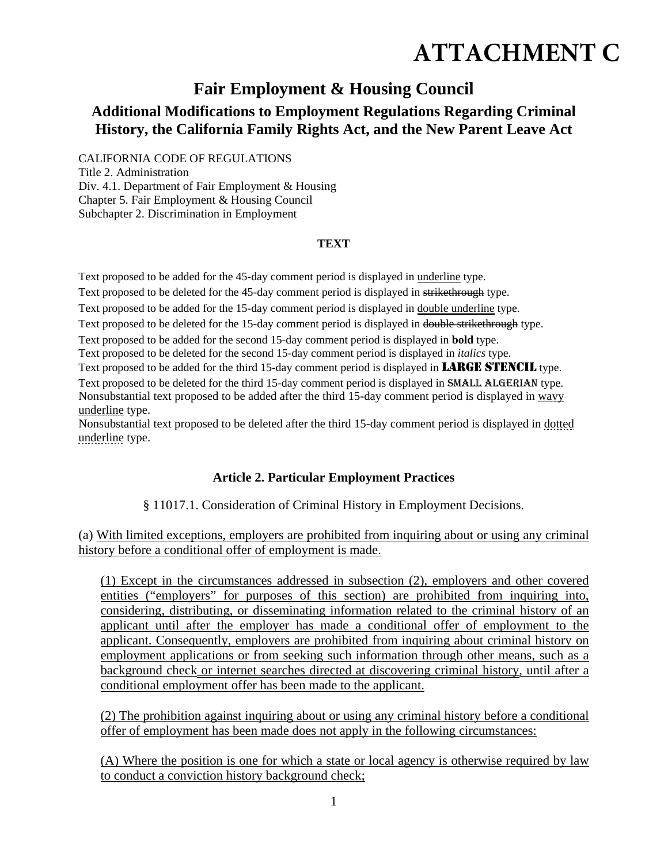# **ATTACHMENT C**

## **Fair Employment & Housing Council**

### **Additional Modifications to Employment Regulations Regarding Criminal History, the California Family Rights Act, and the New Parent Leave Act**

CALIFORNIA CODE OF REGULATIONS

Title 2. Administration Div. 4.1. Department of Fair Employment & Housing Chapter 5. Fair Employment & Housing Council Subchapter 2. Discrimination in Employment

#### **TEXT**

Text proposed to be added for the 45-day comment period is displayed in underline type.

Text proposed to be deleted for the 45-day comment period is displayed in strikethrough type.

Text proposed to be added for the 15-day comment period is displayed in double underline type.

Text proposed to be deleted for the 15-day comment period is displayed in double strikethrough type.

Text proposed to be added for the second 15-day comment period is displayed in **bold** type.

Text proposed to be deleted for the second 15-day comment period is displayed in *italics* type.

Text proposed to be added for the third 15-day comment period is displayed in **LARGE STENCIL** type. Text proposed to be deleted for the third 15-day comment period is displayed in SMALL ALGERIAN type. Nonsubstantial text proposed to be added after the third 15-day comment period is displayed in wavy underline type.

Nonsubstantial text proposed to be deleted after the third 15-day comment period is displayed in dotted underline type.

#### **Article 2. Particular Employment Practices**

§ 11017.1. Consideration of Criminal History in Employment Decisions.

(a) With limited exceptions, employers are prohibited from inquiring about or using any criminal history before a conditional offer of employment is made.

(1) Except in the circumstances addressed in subsection (2), employers and other covered entities ("employers" for purposes of this section) are prohibited from inquiring into, considering, distributing, or disseminating information related to the criminal history of an applicant until after the employer has made a conditional offer of employment to the applicant. Consequently, employers are prohibited from inquiring about criminal history on employment applications or from seeking such information through other means, such as a background check or internet searches directed at discovering criminal history, until after a conditional employment offer has been made to the applicant.

(2) The prohibition against inquiring about or using any criminal history before a conditional offer of employment has been made does not apply in the following circumstances:

(A) Where the position is one for which a state or local agency is otherwise required by law to conduct a conviction history background check;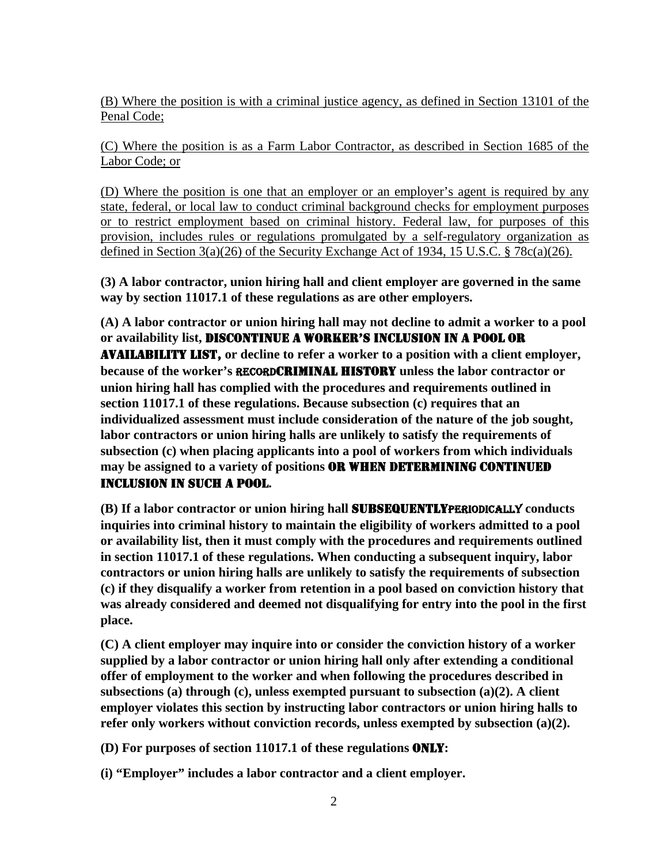(B) Where the position is with a criminal justice agency, as defined in Section 13101 of the Penal Code;

(C) Where the position is as a Farm Labor Contractor, as described in Section 1685 of the Labor Code; or

(D) Where the position is one that an employer or an employer's agent is required by any state, federal, or local law to conduct criminal background checks for employment purposes or to restrict employment based on criminal history. Federal law, for purposes of this provision, includes rules or regulations promulgated by a self-regulatory organization as defined in Section 3(a)(26) of the Security Exchange Act of 1934, 15 U.S.C. § 78c(a)(26).

**(3) A labor contractor, union hiring hall and client employer are governed in the same way by section 11017.1 of these regulations as are other employers.** 

**(A) A labor contractor or union hiring hall may not decline to admit a worker to a pool or availability list,** DISCONTINUE A WORKER'S INCLUSION IN A POOL OR AVAILABILITY LIST, **or decline to refer a worker to a position with a client employer, because of the worker's** RECORDCRIMINAL HISTORY **unless the labor contractor or union hiring hall has complied with the procedures and requirements outlined in section 11017.1 of these regulations. Because subsection (c) requires that an individualized assessment must include consideration of the nature of the job sought, labor contractors or union hiring halls are unlikely to satisfy the requirements of subsection (c) when placing applicants into a pool of workers from which individuals may be assigned to a variety of positions** OR WHEN DETERMINING CONTINUED INCLUSION IN SUCH A POOL**.** 

**(B) If a labor contractor or union hiring hall** SUBSEQUENTLYPERIODICALLY **conducts inquiries into criminal history to maintain the eligibility of workers admitted to a pool or availability list, then it must comply with the procedures and requirements outlined in section 11017.1 of these regulations. When conducting a subsequent inquiry, labor contractors or union hiring halls are unlikely to satisfy the requirements of subsection (c) if they disqualify a worker from retention in a pool based on conviction history that was already considered and deemed not disqualifying for entry into the pool in the first place.** 

**(C) A client employer may inquire into or consider the conviction history of a worker supplied by a labor contractor or union hiring hall only after extending a conditional offer of employment to the worker and when following the procedures described in subsections (a) through (c), unless exempted pursuant to subsection (a)(2). A client employer violates this section by instructing labor contractors or union hiring halls to refer only workers without conviction records, unless exempted by subsection (a)(2).** 

**(D) For purposes of section 11017.1 of these regulations** ONLY**:** 

**(i) "Employer" includes a labor contractor and a client employer.**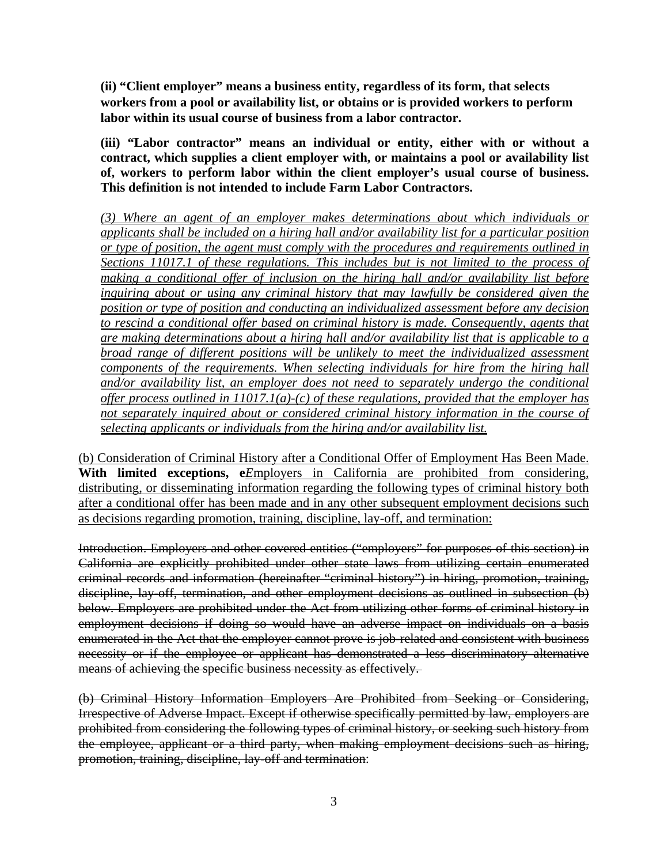**(ii) "Client employer" means a business entity, regardless of its form, that selects workers from a pool or availability list, or obtains or is provided workers to perform labor within its usual course of business from a labor contractor.** 

**(iii) "Labor contractor" means an individual or entity, either with or without a contract, which supplies a client employer with, or maintains a pool or availability list of, workers to perform labor within the client employer's usual course of business. This definition is not intended to include Farm Labor Contractors.** 

*(3) Where an agent of an employer makes determinations about which individuals or applicants shall be included on a hiring hall and/or availability list for a particular position or type of position, the agent must comply with the procedures and requirements outlined in Sections 11017.1 of these regulations. This includes but is not limited to the process of making a conditional offer of inclusion on the hiring hall and/or availability list before inquiring about or using any criminal history that may lawfully be considered given the position or type of position and conducting an individualized assessment before any decision to rescind a conditional offer based on criminal history is made. Consequently, agents that are making determinations about a hiring hall and/or availability list that is applicable to a broad range of different positions will be unlikely to meet the individualized assessment components of the requirements. When selecting individuals for hire from the hiring hall and/or availability list, an employer does not need to separately undergo the conditional offer process outlined in 11017.1(a)-(c) of these regulations, provided that the employer has not separately inquired about or considered criminal history information in the course of selecting applicants or individuals from the hiring and/or availability list.* 

(b) Consideration of Criminal History after a Conditional Offer of Employment Has Been Made. With limited exceptions, e*Employers* in California are prohibited from considering, distributing, or disseminating information regarding the following types of criminal history both after a conditional offer has been made and in any other subsequent employment decisions such as decisions regarding promotion, training, discipline, lay-off, and termination:

Introduction. Employers and other covered entities ("employers" for purposes of this section) in California are explicitly prohibited under other state laws from utilizing certain enumerated criminal records and information (hereinafter "criminal history") in hiring, promotion, training, discipline, lay-off, termination, and other employment decisions as outlined in subsection (b) below. Employers are prohibited under the Act from utilizing other forms of criminal history in employment decisions if doing so would have an adverse impact on individuals on a basis enumerated in the Act that the employer cannot prove is job-related and consistent with business necessity or if the employee or applicant has demonstrated a less discriminatory alternative means of achieving the specific business necessity as effectively.

(b) Criminal History Information Employers Are Prohibited from Seeking or Considering, Irrespective of Adverse Impact. Except if otherwise specifically permitted by law, employers are prohibited from considering the following types of criminal history, or seeking such history from the employee, applicant or a third party, when making employment decisions such as hiring, promotion, training, discipline, lay-off and termination: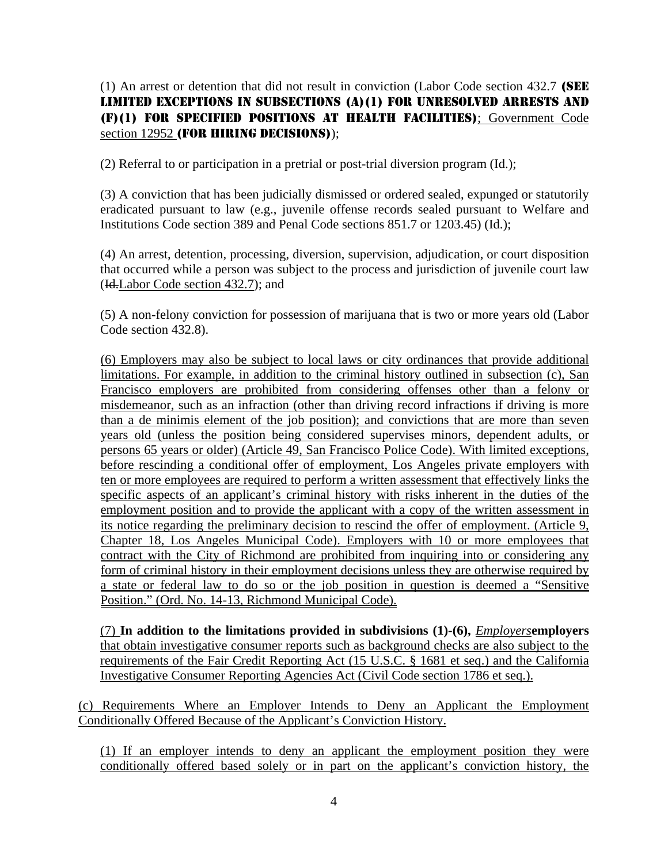(1) An arrest or detention that did not result in conviction (Labor Code section 432.7 (SEE LIMITED EXCEPTIONS IN SUBSECTIONS (A)(1) FOR UNRESOLVED ARRESTS AND (F)(1) FOR SPECIFIED POSITIONS AT HEALTH FACILITIES); Government Code section 12952 (FOR HIRING DECISIONS));

(2) Referral to or participation in a pretrial or post-trial diversion program (Id.);

(3) A conviction that has been judicially dismissed or ordered sealed, expunged or statutorily eradicated pursuant to law (e.g., juvenile offense records sealed pursuant to Welfare and Institutions Code section 389 and Penal Code sections 851.7 or 1203.45) (Id.);

(4) An arrest, detention, processing, diversion, supervision, adjudication, or court disposition that occurred while a person was subject to the process and jurisdiction of juvenile court law (Id.Labor Code section 432.7); and

(5) A non-felony conviction for possession of marijuana that is two or more years old (Labor Code section 432.8).

(6) Employers may also be subject to local laws or city ordinances that provide additional limitations. For example, in addition to the criminal history outlined in subsection (c), San Francisco employers are prohibited from considering offenses other than a felony or misdemeanor, such as an infraction (other than driving record infractions if driving is more than a de minimis element of the job position); and convictions that are more than seven years old (unless the position being considered supervises minors, dependent adults, or persons 65 years or older) (Article 49, San Francisco Police Code). With limited exceptions, before rescinding a conditional offer of employment, Los Angeles private employers with ten or more employees are required to perform a written assessment that effectively links the specific aspects of an applicant's criminal history with risks inherent in the duties of the employment position and to provide the applicant with a copy of the written assessment in its notice regarding the preliminary decision to rescind the offer of employment. (Article 9, Chapter 18, Los Angeles Municipal Code). Employers with 10 or more employees that contract with the City of Richmond are prohibited from inquiring into or considering any form of criminal history in their employment decisions unless they are otherwise required by a state or federal law to do so or the job position in question is deemed a "Sensitive Position." (Ord. No. 14-13, Richmond Municipal Code).

(7) **In addition to the limitations provided in subdivisions (1)-(6),** *Employers***employers** that obtain investigative consumer reports such as background checks are also subject to the requirements of the Fair Credit Reporting Act (15 U.S.C. § 1681 et seq.) and the California Investigative Consumer Reporting Agencies Act (Civil Code section 1786 et seq.).

(c) Requirements Where an Employer Intends to Deny an Applicant the Employment Conditionally Offered Because of the Applicant's Conviction History.

(1) If an employer intends to deny an applicant the employment position they were conditionally offered based solely or in part on the applicant's conviction history, the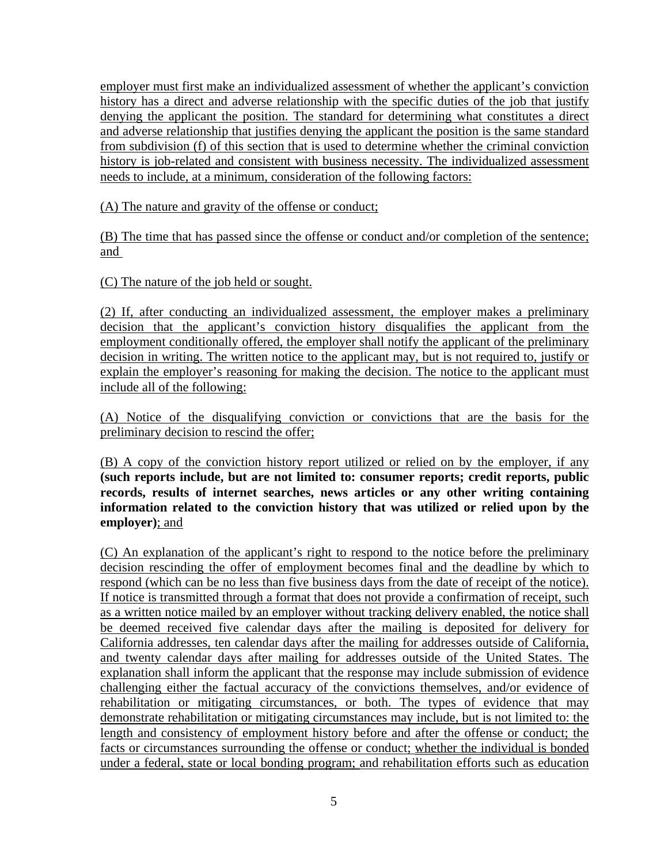employer must first make an individualized assessment of whether the applicant's conviction history has a direct and adverse relationship with the specific duties of the job that justify denying the applicant the position. The standard for determining what constitutes a direct and adverse relationship that justifies denying the applicant the position is the same standard from subdivision (f) of this section that is used to determine whether the criminal conviction history is job-related and consistent with business necessity. The individualized assessment needs to include, at a minimum, consideration of the following factors:

(A) The nature and gravity of the offense or conduct;

(B) The time that has passed since the offense or conduct and/or completion of the sentence; and

(C) The nature of the job held or sought.

(2) If, after conducting an individualized assessment, the employer makes a preliminary decision that the applicant's conviction history disqualifies the applicant from the employment conditionally offered, the employer shall notify the applicant of the preliminary decision in writing. The written notice to the applicant may, but is not required to, justify or explain the employer's reasoning for making the decision. The notice to the applicant must include all of the following:

(A) Notice of the disqualifying conviction or convictions that are the basis for the preliminary decision to rescind the offer;

(B) A copy of the conviction history report utilized or relied on by the employer, if any **(such reports include, but are not limited to: consumer reports; credit reports, public records, results of internet searches, news articles or any other writing containing information related to the conviction history that was utilized or relied upon by the employer)**; and

(C) An explanation of the applicant's right to respond to the notice before the preliminary decision rescinding the offer of employment becomes final and the deadline by which to respond (which can be no less than five business days from the date of receipt of the notice). If notice is transmitted through a format that does not provide a confirmation of receipt, such as a written notice mailed by an employer without tracking delivery enabled, the notice shall be deemed received five calendar days after the mailing is deposited for delivery for California addresses, ten calendar days after the mailing for addresses outside of California, and twenty calendar days after mailing for addresses outside of the United States. The explanation shall inform the applicant that the response may include submission of evidence challenging either the factual accuracy of the convictions themselves, and/or evidence of rehabilitation or mitigating circumstances, or both. The types of evidence that may demonstrate rehabilitation or mitigating circumstances may include, but is not limited to: the length and consistency of employment history before and after the offense or conduct; the facts or circumstances surrounding the offense or conduct; whether the individual is bonded under a federal, state or local bonding program; and rehabilitation efforts such as education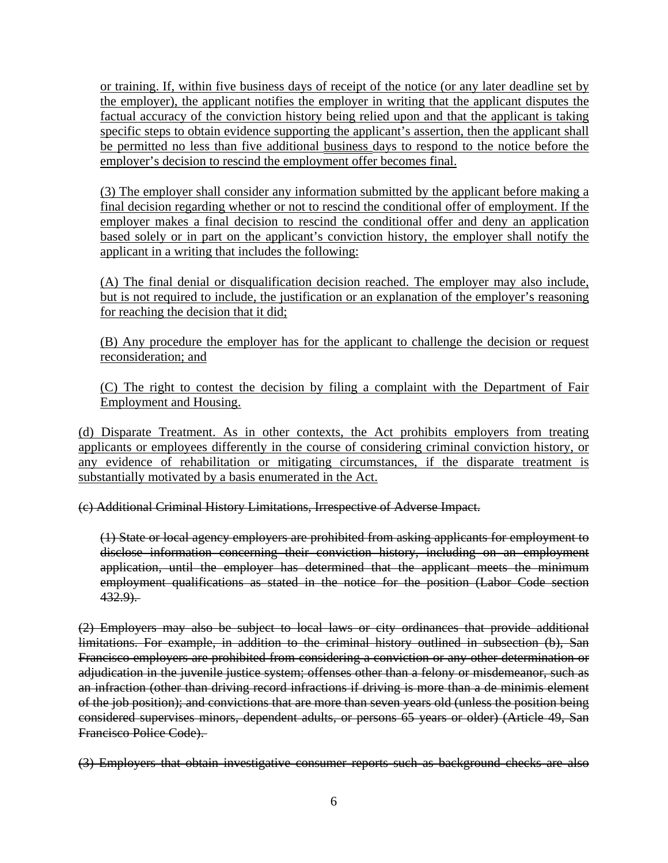or training. If, within five business days of receipt of the notice (or any later deadline set by the employer), the applicant notifies the employer in writing that the applicant disputes the factual accuracy of the conviction history being relied upon and that the applicant is taking specific steps to obtain evidence supporting the applicant's assertion, then the applicant shall be permitted no less than five additional business days to respond to the notice before the employer's decision to rescind the employment offer becomes final.

(3) The employer shall consider any information submitted by the applicant before making a final decision regarding whether or not to rescind the conditional offer of employment. If the employer makes a final decision to rescind the conditional offer and deny an application based solely or in part on the applicant's conviction history, the employer shall notify the applicant in a writing that includes the following:

(A) The final denial or disqualification decision reached. The employer may also include, but is not required to include, the justification or an explanation of the employer's reasoning for reaching the decision that it did;

(B) Any procedure the employer has for the applicant to challenge the decision or request reconsideration; and

(C) The right to contest the decision by filing a complaint with the Department of Fair Employment and Housing.

(d) Disparate Treatment. As in other contexts, the Act prohibits employers from treating applicants or employees differently in the course of considering criminal conviction history, or any evidence of rehabilitation or mitigating circumstances, if the disparate treatment is substantially motivated by a basis enumerated in the Act.

(c) Additional Criminal History Limitations, Irrespective of Adverse Impact.

(1) State or local agency employers are prohibited from asking applicants for employment to disclose information concerning their conviction history, including on an employment application, until the employer has determined that the applicant meets the minimum employment qualifications as stated in the notice for the position (Labor Code section  $432.9$ .

(2) Employers may also be subject to local laws or city ordinances that provide additional limitations. For example, in addition to the criminal history outlined in subsection (b), San Francisco employers are prohibited from considering a conviction or any other determination or adjudication in the juvenile justice system; offenses other than a felony or misdemeanor, such as an infraction (other than driving record infractions if driving is more than a de minimis element of the job position); and convictions that are more than seven years old (unless the position being considered supervises minors, dependent adults, or persons 65 years or older) (Article 49, San Francisco Police Code).

(3) Employers that obtain investigative consumer reports such as background checks are also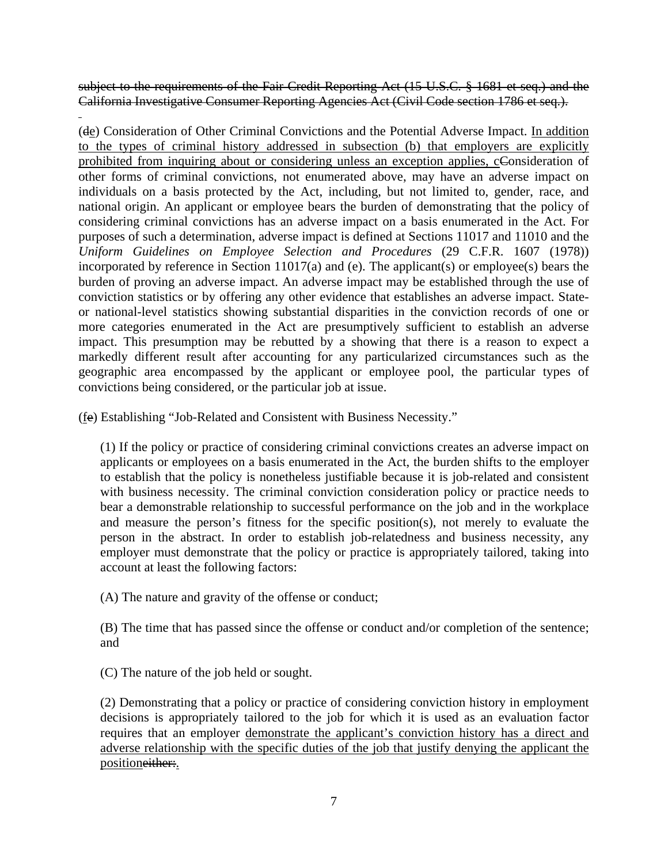subject to the requirements of the Fair Credit Reporting Act (15 U.S.C. § 1681 et seq.) and the California Investigative Consumer Reporting Agencies Act (Civil Code section 1786 et seq.).

(de) Consideration of Other Criminal Convictions and the Potential Adverse Impact. In addition to the types of criminal history addressed in subsection (b) that employers are explicitly prohibited from inquiring about or considering unless an exception applies, cConsideration of other forms of criminal convictions, not enumerated above, may have an adverse impact on individuals on a basis protected by the Act, including, but not limited to, gender, race, and national origin. An applicant or employee bears the burden of demonstrating that the policy of considering criminal convictions has an adverse impact on a basis enumerated in the Act. For purposes of such a determination, adverse impact is defined at Sections 11017 and 11010 and the *Uniform Guidelines on Employee Selection and Procedures* (29 C.F.R. 1607 (1978)) incorporated by reference in Section 11017(a) and (e). The applicant(s) or employee(s) bears the burden of proving an adverse impact. An adverse impact may be established through the use of conviction statistics or by offering any other evidence that establishes an adverse impact. Stateor national-level statistics showing substantial disparities in the conviction records of one or more categories enumerated in the Act are presumptively sufficient to establish an adverse impact. This presumption may be rebutted by a showing that there is a reason to expect a markedly different result after accounting for any particularized circumstances such as the geographic area encompassed by the applicant or employee pool, the particular types of convictions being considered, or the particular job at issue.

(fe) Establishing "Job-Related and Consistent with Business Necessity."

(1) If the policy or practice of considering criminal convictions creates an adverse impact on applicants or employees on a basis enumerated in the Act, the burden shifts to the employer to establish that the policy is nonetheless justifiable because it is job-related and consistent with business necessity. The criminal conviction consideration policy or practice needs to bear a demonstrable relationship to successful performance on the job and in the workplace and measure the person's fitness for the specific position(s), not merely to evaluate the person in the abstract. In order to establish job-relatedness and business necessity, any employer must demonstrate that the policy or practice is appropriately tailored, taking into account at least the following factors:

(A) The nature and gravity of the offense or conduct;

(B) The time that has passed since the offense or conduct and/or completion of the sentence; and

(C) The nature of the job held or sought.

 $\overline{a}$ 

(2) Demonstrating that a policy or practice of considering conviction history in employment decisions is appropriately tailored to the job for which it is used as an evaluation factor requires that an employer demonstrate the applicant's conviction history has a direct and adverse relationship with the specific duties of the job that justify denying the applicant the positioneither:.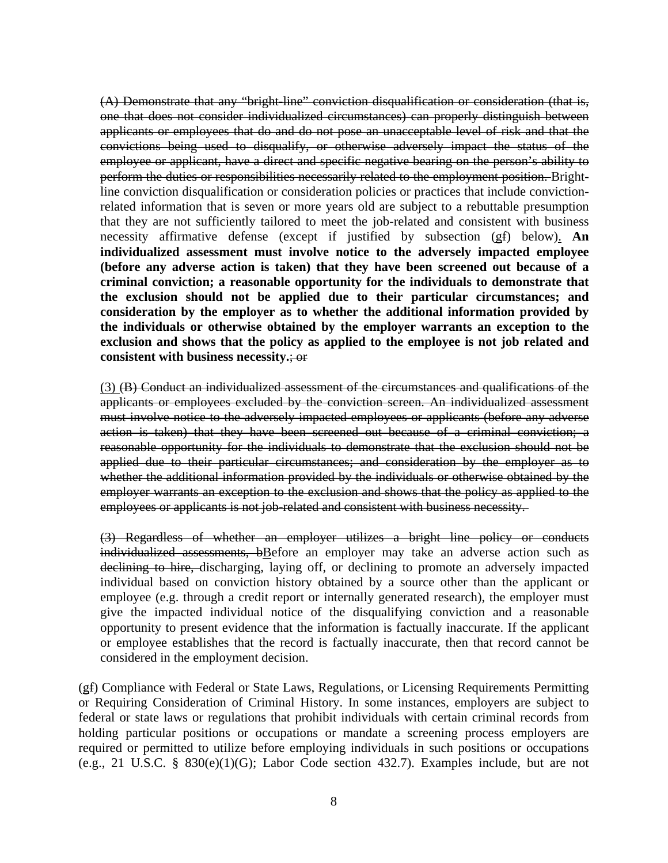(A) Demonstrate that any "bright-line" conviction disqualification or consideration (that is, one that does not consider individualized circumstances) can properly distinguish between applicants or employees that do and do not pose an unacceptable level of risk and that the convictions being used to disqualify, or otherwise adversely impact the status of the employee or applicant, have a direct and specific negative bearing on the person's ability to perform the duties or responsibilities necessarily related to the employment position. Brightline conviction disqualification or consideration policies or practices that include convictionrelated information that is seven or more years old are subject to a rebuttable presumption that they are not sufficiently tailored to meet the job-related and consistent with business necessity affirmative defense (except if justified by subsection (gf) below). **An individualized assessment must involve notice to the adversely impacted employee (before any adverse action is taken) that they have been screened out because of a criminal conviction; a reasonable opportunity for the individuals to demonstrate that the exclusion should not be applied due to their particular circumstances; and consideration by the employer as to whether the additional information provided by the individuals or otherwise obtained by the employer warrants an exception to the exclusion and shows that the policy as applied to the employee is not job related and consistent with business necessity.**; or

(3) (B) Conduct an individualized assessment of the circumstances and qualifications of the applicants or employees excluded by the conviction screen. An individualized assessment must involve notice to the adversely impacted employees or applicants (before any adverse action is taken) that they have been screened out because of a criminal conviction; a reasonable opportunity for the individuals to demonstrate that the exclusion should not be applied due to their particular circumstances; and consideration by the employer as to whether the additional information provided by the individuals or otherwise obtained by the employer warrants an exception to the exclusion and shows that the policy as applied to the employees or applicants is not job-related and consistent with business necessity.

(3) Regardless of whether an employer utilizes a bright line policy or conducts individualized assessments, bBefore an employer may take an adverse action such as declining to hire, discharging, laying off, or declining to promote an adversely impacted individual based on conviction history obtained by a source other than the applicant or employee (e.g. through a credit report or internally generated research), the employer must give the impacted individual notice of the disqualifying conviction and a reasonable opportunity to present evidence that the information is factually inaccurate. If the applicant or employee establishes that the record is factually inaccurate, then that record cannot be considered in the employment decision.

(gf) Compliance with Federal or State Laws, Regulations, or Licensing Requirements Permitting or Requiring Consideration of Criminal History. In some instances, employers are subject to federal or state laws or regulations that prohibit individuals with certain criminal records from holding particular positions or occupations or mandate a screening process employers are required or permitted to utilize before employing individuals in such positions or occupations (e.g., 21 U.S.C. § 830(e)(1)(G); Labor Code section 432.7). Examples include, but are not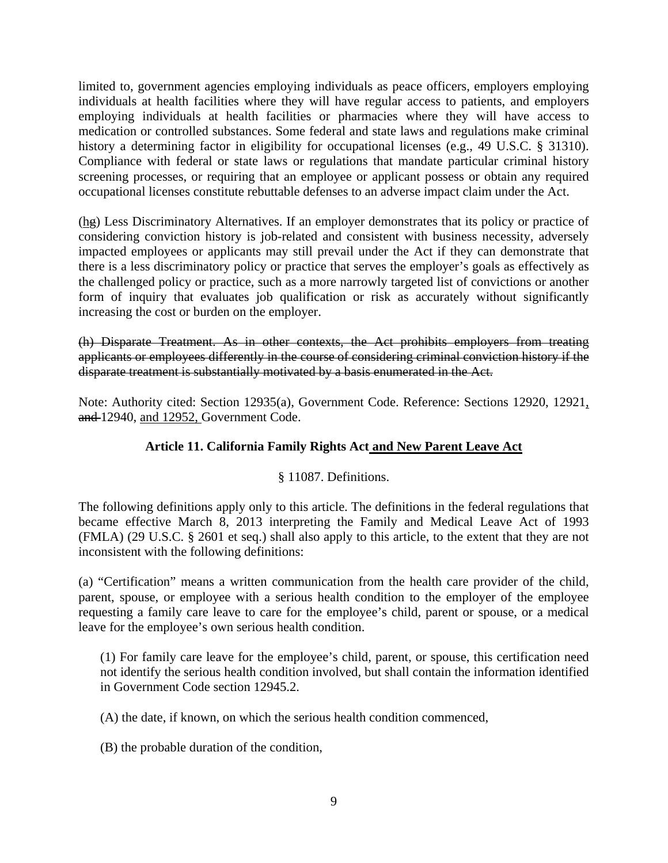limited to, government agencies employing individuals as peace officers, employers employing individuals at health facilities where they will have regular access to patients, and employers employing individuals at health facilities or pharmacies where they will have access to medication or controlled substances. Some federal and state laws and regulations make criminal history a determining factor in eligibility for occupational licenses (e.g., 49 U.S.C. § 31310). Compliance with federal or state laws or regulations that mandate particular criminal history screening processes, or requiring that an employee or applicant possess or obtain any required occupational licenses constitute rebuttable defenses to an adverse impact claim under the Act.

(hg) Less Discriminatory Alternatives. If an employer demonstrates that its policy or practice of considering conviction history is job-related and consistent with business necessity, adversely impacted employees or applicants may still prevail under the Act if they can demonstrate that there is a less discriminatory policy or practice that serves the employer's goals as effectively as the challenged policy or practice, such as a more narrowly targeted list of convictions or another form of inquiry that evaluates job qualification or risk as accurately without significantly increasing the cost or burden on the employer.

(h) Disparate Treatment. As in other contexts, the Act prohibits employers from treating applicants or employees differently in the course of considering criminal conviction history if the disparate treatment is substantially motivated by a basis enumerated in the Act.

Note: Authority cited: Section 12935(a), Government Code. Reference: Sections 12920, 12921, and 12940, and 12952, Government Code.

#### **Article 11. California Family Rights Act and New Parent Leave Act**

#### § 11087. Definitions.

The following definitions apply only to this article. The definitions in the federal regulations that became effective March 8, 2013 interpreting the Family and Medical Leave Act of 1993 (FMLA) (29 U.S.C. § 2601 et seq.) shall also apply to this article, to the extent that they are not inconsistent with the following definitions:

(a) "Certification" means a written communication from the health care provider of the child, parent, spouse, or employee with a serious health condition to the employer of the employee requesting a family care leave to care for the employee's child, parent or spouse, or a medical leave for the employee's own serious health condition.

(1) For family care leave for the employee's child, parent, or spouse, this certification need not identify the serious health condition involved, but shall contain the information identified in Government Code section 12945.2.

(A) the date, if known, on which the serious health condition commenced,

(B) the probable duration of the condition,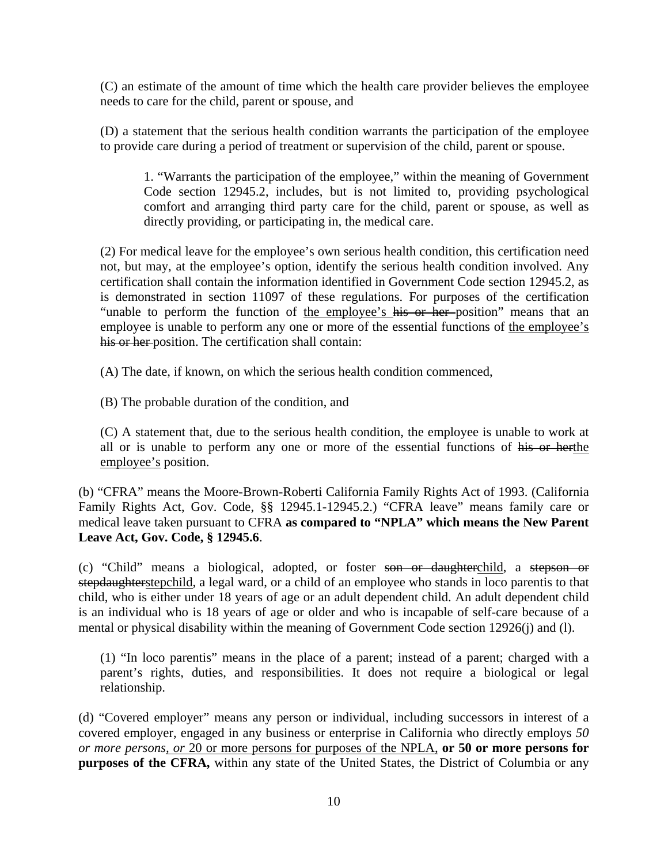(C) an estimate of the amount of time which the health care provider believes the employee needs to care for the child, parent or spouse, and

(D) a statement that the serious health condition warrants the participation of the employee to provide care during a period of treatment or supervision of the child, parent or spouse.

1. "Warrants the participation of the employee," within the meaning of Government Code section 12945.2, includes, but is not limited to, providing psychological comfort and arranging third party care for the child, parent or spouse, as well as directly providing, or participating in, the medical care.

(2) For medical leave for the employee's own serious health condition, this certification need not, but may, at the employee's option, identify the serious health condition involved. Any certification shall contain the information identified in Government Code section 12945.2, as is demonstrated in section 11097 of these regulations. For purposes of the certification "unable to perform the function of the employee's his or her position" means that an employee is unable to perform any one or more of the essential functions of the employee's his or her position. The certification shall contain:

(A) The date, if known, on which the serious health condition commenced,

(B) The probable duration of the condition, and

(C) A statement that, due to the serious health condition, the employee is unable to work at all or is unable to perform any one or more of the essential functions of his or herthe employee's position.

(b) "CFRA" means the Moore-Brown-Roberti California Family Rights Act of 1993. (California Family Rights Act, Gov. Code, §§ 12945.1-12945.2.) "CFRA leave" means family care or medical leave taken pursuant to CFRA **as compared to "NPLA" which means the New Parent Leave Act, Gov. Code, § 12945.6**.

(c) "Child" means a biological, adopted, or foster son or daughterchild, a stepson or stepdaughterstepchild, a legal ward, or a child of an employee who stands in loco parentis to that child, who is either under 18 years of age or an adult dependent child. An adult dependent child is an individual who is 18 years of age or older and who is incapable of self-care because of a mental or physical disability within the meaning of Government Code section 12926(j) and (l).

(1) "In loco parentis" means in the place of a parent; instead of a parent; charged with a parent's rights, duties, and responsibilities. It does not require a biological or legal relationship.

(d) "Covered employer" means any person or individual, including successors in interest of a covered employer, engaged in any business or enterprise in California who directly employs *50 or more persons, or* 20 or more persons for purposes of the NPLA, **or 50 or more persons for purposes of the CFRA,** within any state of the United States, the District of Columbia or any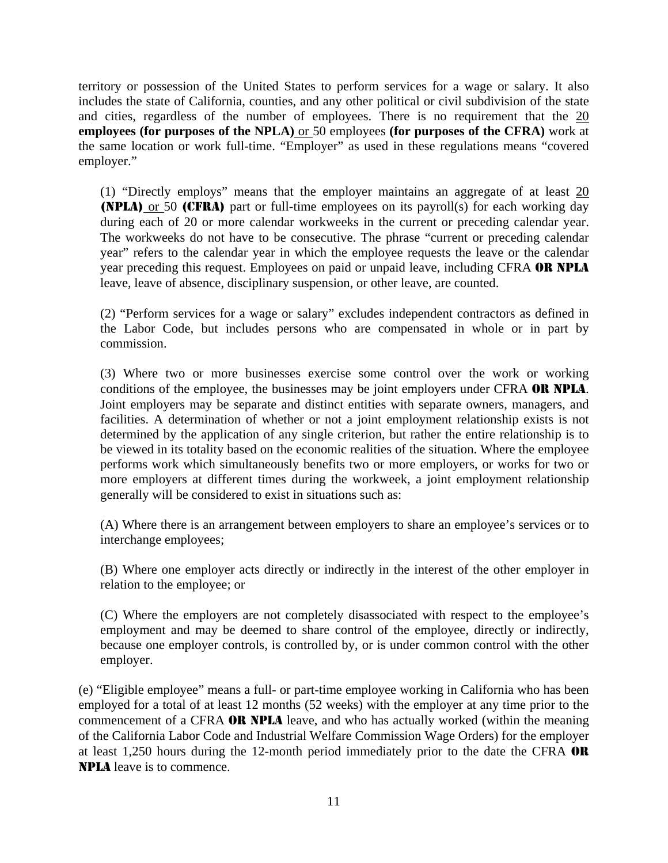territory or possession of the United States to perform services for a wage or salary. It also includes the state of California, counties, and any other political or civil subdivision of the state and cities, regardless of the number of employees. There is no requirement that the 20 **employees (for purposes of the NPLA)** or 50 employees **(for purposes of the CFRA)** work at the same location or work full-time. "Employer" as used in these regulations means "covered employer."

(1) "Directly employs" means that the employer maintains an aggregate of at least  $20$ (NPLA) or 50 (CFRA) part or full-time employees on its payroll(s) for each working day during each of 20 or more calendar workweeks in the current or preceding calendar year. The workweeks do not have to be consecutive. The phrase "current or preceding calendar year" refers to the calendar year in which the employee requests the leave or the calendar year preceding this request. Employees on paid or unpaid leave, including CFRA OR NPLA leave, leave of absence, disciplinary suspension, or other leave, are counted.

(2) "Perform services for a wage or salary" excludes independent contractors as defined in the Labor Code, but includes persons who are compensated in whole or in part by commission.

(3) Where two or more businesses exercise some control over the work or working conditions of the employee, the businesses may be joint employers under CFRA OR NPLA. Joint employers may be separate and distinct entities with separate owners, managers, and facilities. A determination of whether or not a joint employment relationship exists is not determined by the application of any single criterion, but rather the entire relationship is to be viewed in its totality based on the economic realities of the situation. Where the employee performs work which simultaneously benefits two or more employers, or works for two or more employers at different times during the workweek, a joint employment relationship generally will be considered to exist in situations such as:

(A) Where there is an arrangement between employers to share an employee's services or to interchange employees;

(B) Where one employer acts directly or indirectly in the interest of the other employer in relation to the employee; or

(C) Where the employers are not completely disassociated with respect to the employee's employment and may be deemed to share control of the employee, directly or indirectly, because one employer controls, is controlled by, or is under common control with the other employer.

(e) "Eligible employee" means a full- or part-time employee working in California who has been employed for a total of at least 12 months (52 weeks) with the employer at any time prior to the commencement of a CFRA OR NPLA leave, and who has actually worked (within the meaning of the California Labor Code and Industrial Welfare Commission Wage Orders) for the employer at least 1,250 hours during the 12-month period immediately prior to the date the CFRA OR NPLA leave is to commence.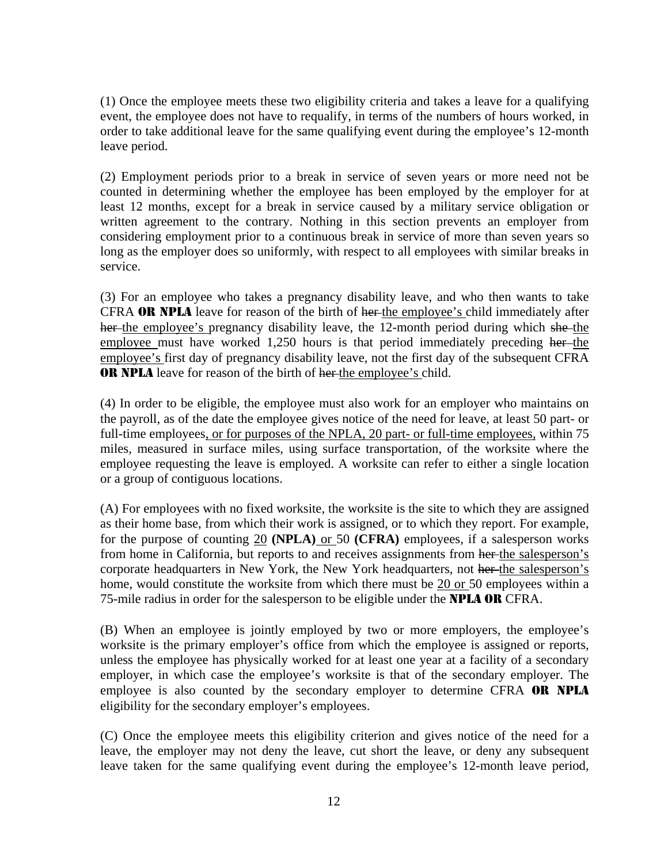(1) Once the employee meets these two eligibility criteria and takes a leave for a qualifying event, the employee does not have to requalify, in terms of the numbers of hours worked, in order to take additional leave for the same qualifying event during the employee's 12-month leave period.

(2) Employment periods prior to a break in service of seven years or more need not be counted in determining whether the employee has been employed by the employer for at least 12 months, except for a break in service caused by a military service obligation or written agreement to the contrary. Nothing in this section prevents an employer from considering employment prior to a continuous break in service of more than seven years so long as the employer does so uniformly, with respect to all employees with similar breaks in service.

(3) For an employee who takes a pregnancy disability leave, and who then wants to take CFRA OR NPLA leave for reason of the birth of her-the employee's child immediately after her the employee's pregnancy disability leave, the 12-month period during which she the employee must have worked 1,250 hours is that period immediately preceding her-the employee's first day of pregnancy disability leave, not the first day of the subsequent CFRA **OR NPLA** leave for reason of the birth of her-the employee's child.

(4) In order to be eligible, the employee must also work for an employer who maintains on the payroll, as of the date the employee gives notice of the need for leave, at least 50 part- or full-time employees, or for purposes of the NPLA, 20 part- or full-time employees, within 75 miles, measured in surface miles, using surface transportation, of the worksite where the employee requesting the leave is employed. A worksite can refer to either a single location or a group of contiguous locations.

(A) For employees with no fixed worksite, the worksite is the site to which they are assigned as their home base, from which their work is assigned, or to which they report. For example, for the purpose of counting 20 **(NPLA)** or 50 **(CFRA)** employees, if a salesperson works from home in California, but reports to and receives assignments from her the salesperson's corporate headquarters in New York, the New York headquarters, not her the salesperson's home, would constitute the worksite from which there must be 20 or 50 employees within a 75-mile radius in order for the salesperson to be eligible under the **NPLA OR** CFRA.

(B) When an employee is jointly employed by two or more employers, the employee's worksite is the primary employer's office from which the employee is assigned or reports, unless the employee has physically worked for at least one year at a facility of a secondary employer, in which case the employee's worksite is that of the secondary employer. The employee is also counted by the secondary employer to determine CFRA OR NPLA eligibility for the secondary employer's employees.

(C) Once the employee meets this eligibility criterion and gives notice of the need for a leave, the employer may not deny the leave, cut short the leave, or deny any subsequent leave taken for the same qualifying event during the employee's 12-month leave period,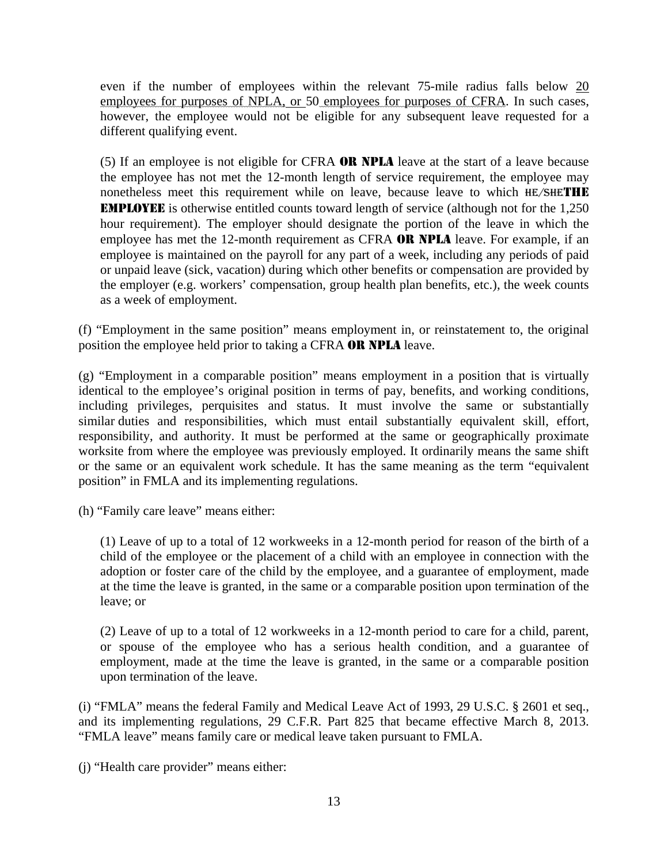even if the number of employees within the relevant 75-mile radius falls below 20 employees for purposes of NPLA, or 50 employees for purposes of CFRA. In such cases, however, the employee would not be eligible for any subsequent leave requested for a different qualifying event.

(5) If an employee is not eligible for CFRA OR NPLA leave at the start of a leave because the employee has not met the 12-month length of service requirement, the employee may nonetheless meet this requirement while on leave, because leave to which HE/SHETHE EMPLOYEE is otherwise entitled counts toward length of service (although not for the 1,250 hour requirement). The employer should designate the portion of the leave in which the employee has met the 12-month requirement as CFRA OR NPLA leave. For example, if an employee is maintained on the payroll for any part of a week, including any periods of paid or unpaid leave (sick, vacation) during which other benefits or compensation are provided by the employer (e.g. workers' compensation, group health plan benefits, etc.), the week counts as a week of employment.

(f) "Employment in the same position" means employment in, or reinstatement to, the original position the employee held prior to taking a CFRA OR NPLA leave.

(g) "Employment in a comparable position" means employment in a position that is virtually identical to the employee's original position in terms of pay, benefits, and working conditions, including privileges, perquisites and status. It must involve the same or substantially similar duties and responsibilities, which must entail substantially equivalent skill, effort, responsibility, and authority. It must be performed at the same or geographically proximate worksite from where the employee was previously employed. It ordinarily means the same shift or the same or an equivalent work schedule. It has the same meaning as the term "equivalent position" in FMLA and its implementing regulations.

(h) "Family care leave" means either:

(1) Leave of up to a total of 12 workweeks in a 12-month period for reason of the birth of a child of the employee or the placement of a child with an employee in connection with the adoption or foster care of the child by the employee, and a guarantee of employment, made at the time the leave is granted, in the same or a comparable position upon termination of the leave; or

(2) Leave of up to a total of 12 workweeks in a 12-month period to care for a child, parent, or spouse of the employee who has a serious health condition, and a guarantee of employment, made at the time the leave is granted, in the same or a comparable position upon termination of the leave.

(i) "FMLA" means the federal Family and Medical Leave Act of 1993, 29 U.S.C. § 2601 et seq., and its implementing regulations, 29 C.F.R. Part 825 that became effective March 8, 2013. "FMLA leave" means family care or medical leave taken pursuant to FMLA.

(j) "Health care provider" means either: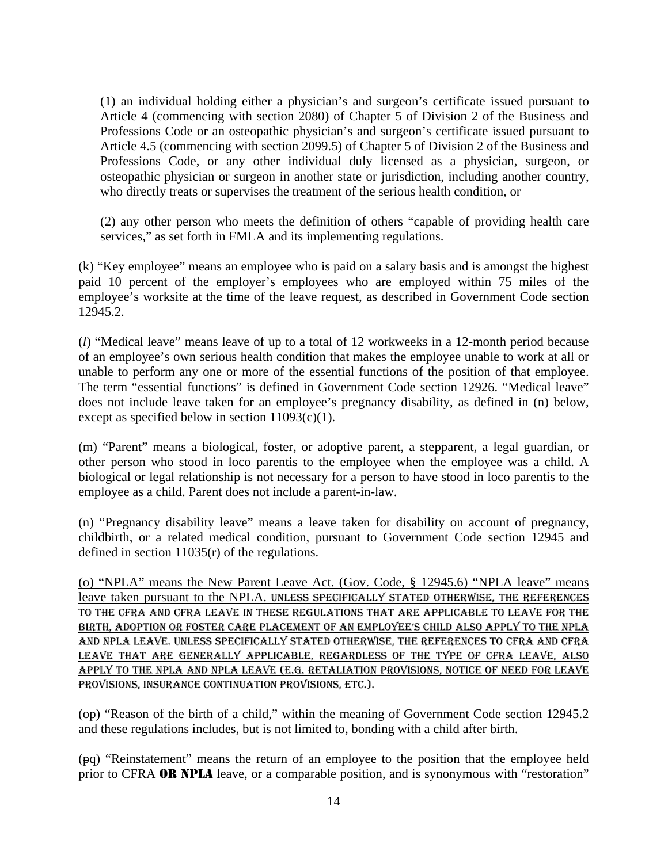(1) an individual holding either a physician's and surgeon's certificate issued pursuant to Article 4 (commencing with section 2080) of Chapter 5 of Division 2 of the Business and Professions Code or an osteopathic physician's and surgeon's certificate issued pursuant to Article 4.5 (commencing with section 2099.5) of Chapter 5 of Division 2 of the Business and Professions Code, or any other individual duly licensed as a physician, surgeon, or osteopathic physician or surgeon in another state or jurisdiction, including another country, who directly treats or supervises the treatment of the serious health condition, or

(2) any other person who meets the definition of others "capable of providing health care services," as set forth in FMLA and its implementing regulations.

(k) "Key employee" means an employee who is paid on a salary basis and is amongst the highest paid 10 percent of the employer's employees who are employed within 75 miles of the employee's worksite at the time of the leave request, as described in Government Code section 12945.2.

(*l*) "Medical leave" means leave of up to a total of 12 workweeks in a 12-month period because of an employee's own serious health condition that makes the employee unable to work at all or unable to perform any one or more of the essential functions of the position of that employee. The term "essential functions" is defined in Government Code section 12926. "Medical leave" does not include leave taken for an employee's pregnancy disability, as defined in (n) below, except as specified below in section  $11093(c)(1)$ .

(m) "Parent" means a biological, foster, or adoptive parent, a stepparent, a legal guardian, or other person who stood in loco parentis to the employee when the employee was a child. A biological or legal relationship is not necessary for a person to have stood in loco parentis to the employee as a child. Parent does not include a parent-in-law.

(n) "Pregnancy disability leave" means a leave taken for disability on account of pregnancy, childbirth, or a related medical condition, pursuant to Government Code section 12945 and defined in section 11035(r) of the regulations.

(o) "NPLA" means the New Parent Leave Act. (Gov. Code, § 12945.6) "NPLA leave" means leave taken pursuant to the NPLA. UNLESS SPECIFICALLY STATED OTHERWISE, THE REFERENCES TO THE CFRA AND CFRA LEAVE IN THESE REGULATIONS THAT ARE APPLICABLE TO LEAVE FOR THE BIRTH, ADOPTION OR FOSTER CARE PLACEMENT OF AN EMPLOYEE'S CHILD ALSO APPLY TO THE NPLA AND NPLA LEAVE. UNLESS SPECIFICALLY STATED OTHERWISE, THE REFERENCES TO CFRA AND CFRA LEAVE THAT ARE GENERALLY APPLICABLE, REGARDLESS OF THE TYPE OF CFRA LEAVE, ALSO APPLY TO THE NPLA AND NPLA LEAVE (E.G. RETALIATION PROVISIONS, NOTICE OF NEED FOR LEAVE PROVISIONS, INSURANCE CONTINUATION PROVISIONS, ETC.).

(op) "Reason of the birth of a child," within the meaning of Government Code section 12945.2 and these regulations includes, but is not limited to, bonding with a child after birth.

(pq) "Reinstatement" means the return of an employee to the position that the employee held prior to CFRA **OR NPLA** leave, or a comparable position, and is synonymous with "restoration"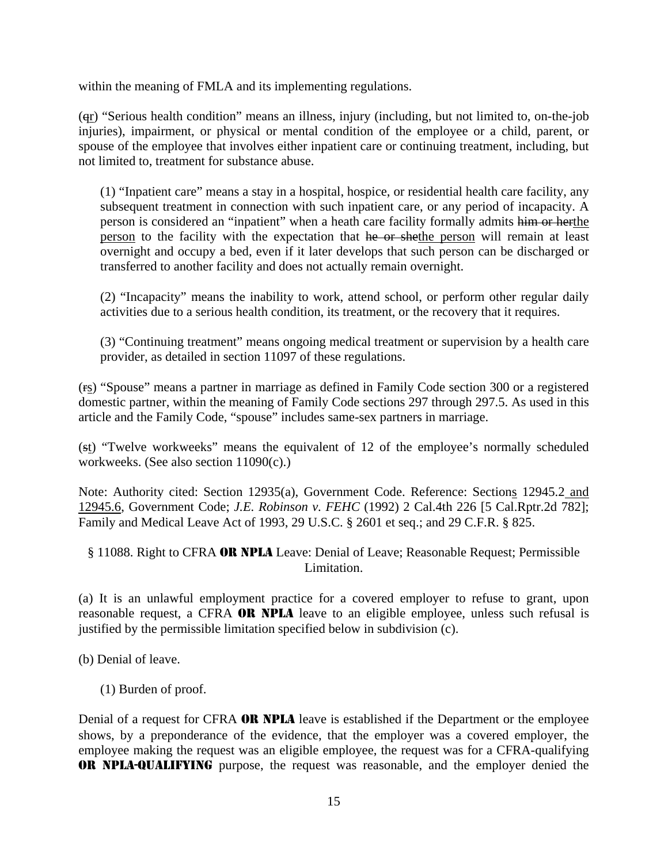within the meaning of FMLA and its implementing regulations.

(qr) "Serious health condition" means an illness, injury (including, but not limited to, on-the-job injuries), impairment, or physical or mental condition of the employee or a child, parent, or spouse of the employee that involves either inpatient care or continuing treatment, including, but not limited to, treatment for substance abuse.

(1) "Inpatient care" means a stay in a hospital, hospice, or residential health care facility, any subsequent treatment in connection with such inpatient care, or any period of incapacity. A person is considered an "inpatient" when a heath care facility formally admits him or herthe person to the facility with the expectation that he or shethe person will remain at least overnight and occupy a bed, even if it later develops that such person can be discharged or transferred to another facility and does not actually remain overnight.

(2) "Incapacity" means the inability to work, attend school, or perform other regular daily activities due to a serious health condition, its treatment, or the recovery that it requires.

(3) "Continuing treatment" means ongoing medical treatment or supervision by a health care provider, as detailed in section 11097 of these regulations.

(rs) "Spouse" means a partner in marriage as defined in Family Code section 300 or a registered domestic partner, within the meaning of Family Code sections 297 through 297.5. As used in this article and the Family Code, "spouse" includes same-sex partners in marriage.

(st) "Twelve workweeks" means the equivalent of 12 of the employee's normally scheduled workweeks. (See also section 11090(c).)

Note: Authority cited: Section 12935(a), Government Code. Reference: Sections 12945.2 and 12945.6, Government Code; *J.E. Robinson v. FEHC* (1992) 2 Cal.4th 226 [5 Cal.Rptr.2d 782]; Family and Medical Leave Act of 1993, 29 U.S.C. § 2601 et seq.; and 29 C.F.R. § 825.

§ 11088. Right to CFRA OR NPLA Leave: Denial of Leave; Reasonable Request; Permissible Limitation.

(a) It is an unlawful employment practice for a covered employer to refuse to grant, upon reasonable request, a CFRA OR NPLA leave to an eligible employee, unless such refusal is justified by the permissible limitation specified below in subdivision (c).

(b) Denial of leave.

(1) Burden of proof.

Denial of a request for CFRA **OR NPLA** leave is established if the Department or the employee shows, by a preponderance of the evidence, that the employer was a covered employer, the employee making the request was an eligible employee, the request was for a CFRA-qualifying OR NPLA-QUALIFYING purpose, the request was reasonable, and the employer denied the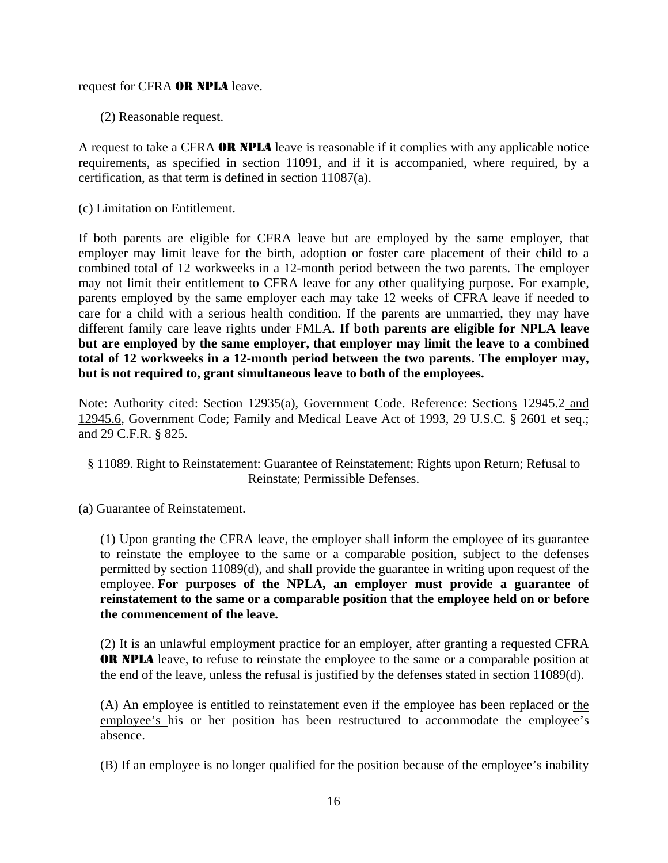#### request for CFRA OR NPLA leave.

(2) Reasonable request.

A request to take a CFRA OR NPLA leave is reasonable if it complies with any applicable notice requirements, as specified in section 11091, and if it is accompanied, where required, by a certification, as that term is defined in section 11087(a).

(c) Limitation on Entitlement.

If both parents are eligible for CFRA leave but are employed by the same employer, that employer may limit leave for the birth, adoption or foster care placement of their child to a combined total of 12 workweeks in a 12-month period between the two parents. The employer may not limit their entitlement to CFRA leave for any other qualifying purpose. For example, parents employed by the same employer each may take 12 weeks of CFRA leave if needed to care for a child with a serious health condition. If the parents are unmarried, they may have different family care leave rights under FMLA. **If both parents are eligible for NPLA leave but are employed by the same employer, that employer may limit the leave to a combined total of 12 workweeks in a 12-month period between the two parents. The employer may, but is not required to, grant simultaneous leave to both of the employees.**

Note: Authority cited: Section 12935(a), Government Code. Reference: Sections 12945.2 and 12945.6, Government Code; Family and Medical Leave Act of 1993, 29 U.S.C. § 2601 et seq.; and 29 C.F.R. § 825.

- § 11089. Right to Reinstatement: Guarantee of Reinstatement; Rights upon Return; Refusal to Reinstate; Permissible Defenses.
- (a) Guarantee of Reinstatement.

(1) Upon granting the CFRA leave, the employer shall inform the employee of its guarantee to reinstate the employee to the same or a comparable position, subject to the defenses permitted by section 11089(d), and shall provide the guarantee in writing upon request of the employee. **For purposes of the NPLA, an employer must provide a guarantee of reinstatement to the same or a comparable position that the employee held on or before the commencement of the leave.**

(2) It is an unlawful employment practice for an employer, after granting a requested CFRA OR NPLA leave, to refuse to reinstate the employee to the same or a comparable position at the end of the leave, unless the refusal is justified by the defenses stated in section 11089(d).

(A) An employee is entitled to reinstatement even if the employee has been replaced or the employee's his or her position has been restructured to accommodate the employee's absence.

(B) If an employee is no longer qualified for the position because of the employee's inability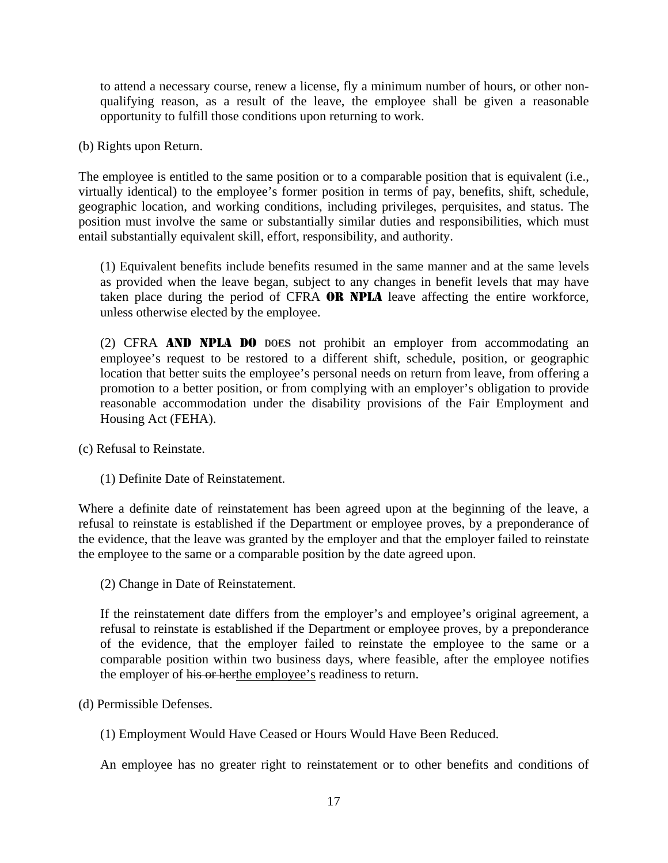to attend a necessary course, renew a license, fly a minimum number of hours, or other nonqualifying reason, as a result of the leave, the employee shall be given a reasonable opportunity to fulfill those conditions upon returning to work.

(b) Rights upon Return.

The employee is entitled to the same position or to a comparable position that is equivalent (i.e., virtually identical) to the employee's former position in terms of pay, benefits, shift, schedule, geographic location, and working conditions, including privileges, perquisites, and status. The position must involve the same or substantially similar duties and responsibilities, which must entail substantially equivalent skill, effort, responsibility, and authority.

(1) Equivalent benefits include benefits resumed in the same manner and at the same levels as provided when the leave began, subject to any changes in benefit levels that may have taken place during the period of CFRA OR NPLA leave affecting the entire workforce, unless otherwise elected by the employee.

(2) CFRA AND NPLA DO DOES not prohibit an employer from accommodating an employee's request to be restored to a different shift, schedule, position, or geographic location that better suits the employee's personal needs on return from leave, from offering a promotion to a better position, or from complying with an employer's obligation to provide reasonable accommodation under the disability provisions of the Fair Employment and Housing Act (FEHA).

(c) Refusal to Reinstate.

(1) Definite Date of Reinstatement.

Where a definite date of reinstatement has been agreed upon at the beginning of the leave, a refusal to reinstate is established if the Department or employee proves, by a preponderance of the evidence, that the leave was granted by the employer and that the employer failed to reinstate the employee to the same or a comparable position by the date agreed upon.

(2) Change in Date of Reinstatement.

If the reinstatement date differs from the employer's and employee's original agreement, a refusal to reinstate is established if the Department or employee proves, by a preponderance of the evidence, that the employer failed to reinstate the employee to the same or a comparable position within two business days, where feasible, after the employee notifies the employer of his or herthe employee's readiness to return.

(d) Permissible Defenses.

(1) Employment Would Have Ceased or Hours Would Have Been Reduced.

An employee has no greater right to reinstatement or to other benefits and conditions of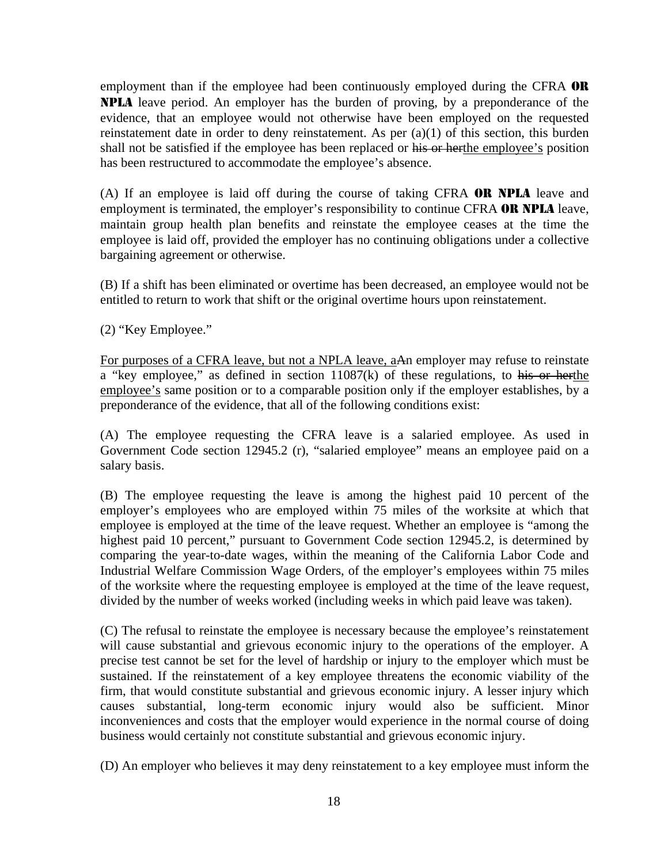employment than if the employee had been continuously employed during the CFRA OR NPLA leave period. An employer has the burden of proving, by a preponderance of the evidence, that an employee would not otherwise have been employed on the requested reinstatement date in order to deny reinstatement. As per (a)(1) of this section, this burden shall not be satisfied if the employee has been replaced or his or herthe employee's position has been restructured to accommodate the employee's absence.

(A) If an employee is laid off during the course of taking CFRA OR NPLA leave and employment is terminated, the employer's responsibility to continue CFRA OR NPLA leave, maintain group health plan benefits and reinstate the employee ceases at the time the employee is laid off, provided the employer has no continuing obligations under a collective bargaining agreement or otherwise.

(B) If a shift has been eliminated or overtime has been decreased, an employee would not be entitled to return to work that shift or the original overtime hours upon reinstatement.

(2) "Key Employee."

For purposes of a CFRA leave, but not a NPLA leave, aAn employer may refuse to reinstate a "key employee," as defined in section 11087(k) of these regulations, to his or herthe employee's same position or to a comparable position only if the employer establishes, by a preponderance of the evidence, that all of the following conditions exist:

(A) The employee requesting the CFRA leave is a salaried employee. As used in Government Code section 12945.2 (r), "salaried employee" means an employee paid on a salary basis.

(B) The employee requesting the leave is among the highest paid 10 percent of the employer's employees who are employed within 75 miles of the worksite at which that employee is employed at the time of the leave request. Whether an employee is "among the highest paid 10 percent," pursuant to Government Code section 12945.2, is determined by comparing the year-to-date wages, within the meaning of the California Labor Code and Industrial Welfare Commission Wage Orders, of the employer's employees within 75 miles of the worksite where the requesting employee is employed at the time of the leave request, divided by the number of weeks worked (including weeks in which paid leave was taken).

(C) The refusal to reinstate the employee is necessary because the employee's reinstatement will cause substantial and grievous economic injury to the operations of the employer. A precise test cannot be set for the level of hardship or injury to the employer which must be sustained. If the reinstatement of a key employee threatens the economic viability of the firm, that would constitute substantial and grievous economic injury. A lesser injury which causes substantial, long-term economic injury would also be sufficient. Minor inconveniences and costs that the employer would experience in the normal course of doing business would certainly not constitute substantial and grievous economic injury.

(D) An employer who believes it may deny reinstatement to a key employee must inform the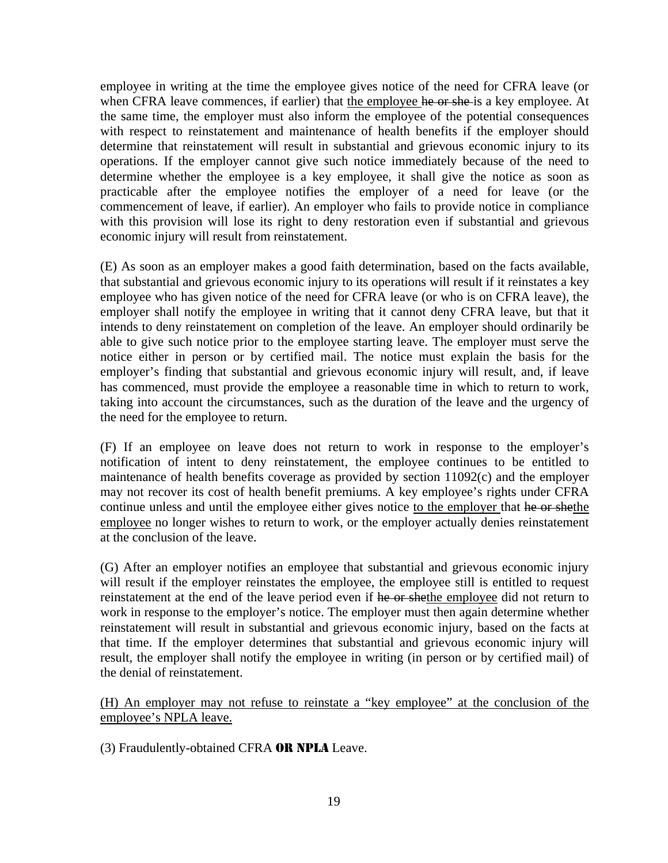employee in writing at the time the employee gives notice of the need for CFRA leave (or when CFRA leave commences, if earlier) that the employee he or she is a key employee. At the same time, the employer must also inform the employee of the potential consequences with respect to reinstatement and maintenance of health benefits if the employer should determine that reinstatement will result in substantial and grievous economic injury to its operations. If the employer cannot give such notice immediately because of the need to determine whether the employee is a key employee, it shall give the notice as soon as practicable after the employee notifies the employer of a need for leave (or the commencement of leave, if earlier). An employer who fails to provide notice in compliance with this provision will lose its right to deny restoration even if substantial and grievous economic injury will result from reinstatement.

(E) As soon as an employer makes a good faith determination, based on the facts available, that substantial and grievous economic injury to its operations will result if it reinstates a key employee who has given notice of the need for CFRA leave (or who is on CFRA leave), the employer shall notify the employee in writing that it cannot deny CFRA leave, but that it intends to deny reinstatement on completion of the leave. An employer should ordinarily be able to give such notice prior to the employee starting leave. The employer must serve the notice either in person or by certified mail. The notice must explain the basis for the employer's finding that substantial and grievous economic injury will result, and, if leave has commenced, must provide the employee a reasonable time in which to return to work, taking into account the circumstances, such as the duration of the leave and the urgency of the need for the employee to return.

(F) If an employee on leave does not return to work in response to the employer's notification of intent to deny reinstatement, the employee continues to be entitled to maintenance of health benefits coverage as provided by section 11092(c) and the employer may not recover its cost of health benefit premiums. A key employee's rights under CFRA continue unless and until the employee either gives notice to the employer that he or shethe employee no longer wishes to return to work, or the employer actually denies reinstatement at the conclusion of the leave.

(G) After an employer notifies an employee that substantial and grievous economic injury will result if the employer reinstates the employee, the employee still is entitled to request reinstatement at the end of the leave period even if he or shethe employee did not return to work in response to the employer's notice. The employer must then again determine whether reinstatement will result in substantial and grievous economic injury, based on the facts at that time. If the employer determines that substantial and grievous economic injury will result, the employer shall notify the employee in writing (in person or by certified mail) of the denial of reinstatement.

(H) An employer may not refuse to reinstate a "key employee" at the conclusion of the employee's NPLA leave.

(3) Fraudulently-obtained CFRA OR NPLA Leave.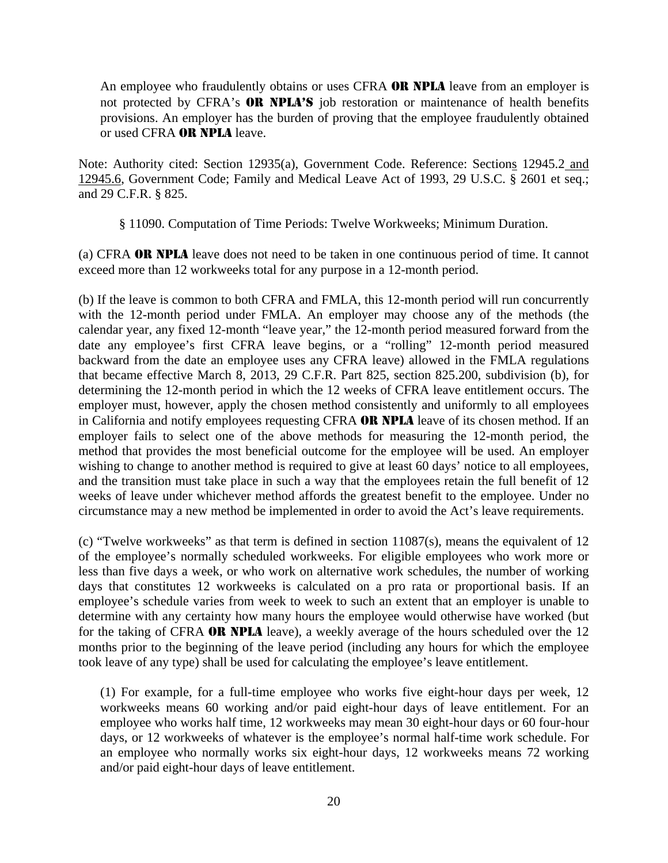An employee who fraudulently obtains or uses CFRA OR NPLA leave from an employer is not protected by CFRA's **OR NPLA'S** job restoration or maintenance of health benefits provisions. An employer has the burden of proving that the employee fraudulently obtained or used CFRA OR NPLA leave.

Note: Authority cited: Section 12935(a), Government Code. Reference: Sections 12945.2 and 12945.6, Government Code; Family and Medical Leave Act of 1993, 29 U.S.C. § 2601 et seq.; and 29 C.F.R. § 825.

§ 11090. Computation of Time Periods: Twelve Workweeks; Minimum Duration.

(a) CFRA OR NPLA leave does not need to be taken in one continuous period of time. It cannot exceed more than 12 workweeks total for any purpose in a 12-month period.

(b) If the leave is common to both CFRA and FMLA, this 12-month period will run concurrently with the 12-month period under FMLA. An employer may choose any of the methods (the calendar year, any fixed 12-month "leave year," the 12-month period measured forward from the date any employee's first CFRA leave begins, or a "rolling" 12-month period measured backward from the date an employee uses any CFRA leave) allowed in the FMLA regulations that became effective March 8, 2013, 29 C.F.R. Part 825, section 825.200, subdivision (b), for determining the 12-month period in which the 12 weeks of CFRA leave entitlement occurs. The employer must, however, apply the chosen method consistently and uniformly to all employees in California and notify employees requesting CFRA OR NPLA leave of its chosen method. If an employer fails to select one of the above methods for measuring the 12-month period, the method that provides the most beneficial outcome for the employee will be used. An employer wishing to change to another method is required to give at least 60 days' notice to all employees, and the transition must take place in such a way that the employees retain the full benefit of 12 weeks of leave under whichever method affords the greatest benefit to the employee. Under no circumstance may a new method be implemented in order to avoid the Act's leave requirements.

(c) "Twelve workweeks" as that term is defined in section 11087(s), means the equivalent of 12 of the employee's normally scheduled workweeks. For eligible employees who work more or less than five days a week, or who work on alternative work schedules, the number of working days that constitutes 12 workweeks is calculated on a pro rata or proportional basis. If an employee's schedule varies from week to week to such an extent that an employer is unable to determine with any certainty how many hours the employee would otherwise have worked (but for the taking of CFRA OR NPLA leave), a weekly average of the hours scheduled over the 12 months prior to the beginning of the leave period (including any hours for which the employee took leave of any type) shall be used for calculating the employee's leave entitlement.

(1) For example, for a full-time employee who works five eight-hour days per week, 12 workweeks means 60 working and/or paid eight-hour days of leave entitlement. For an employee who works half time, 12 workweeks may mean 30 eight-hour days or 60 four-hour days, or 12 workweeks of whatever is the employee's normal half-time work schedule. For an employee who normally works six eight-hour days, 12 workweeks means 72 working and/or paid eight-hour days of leave entitlement.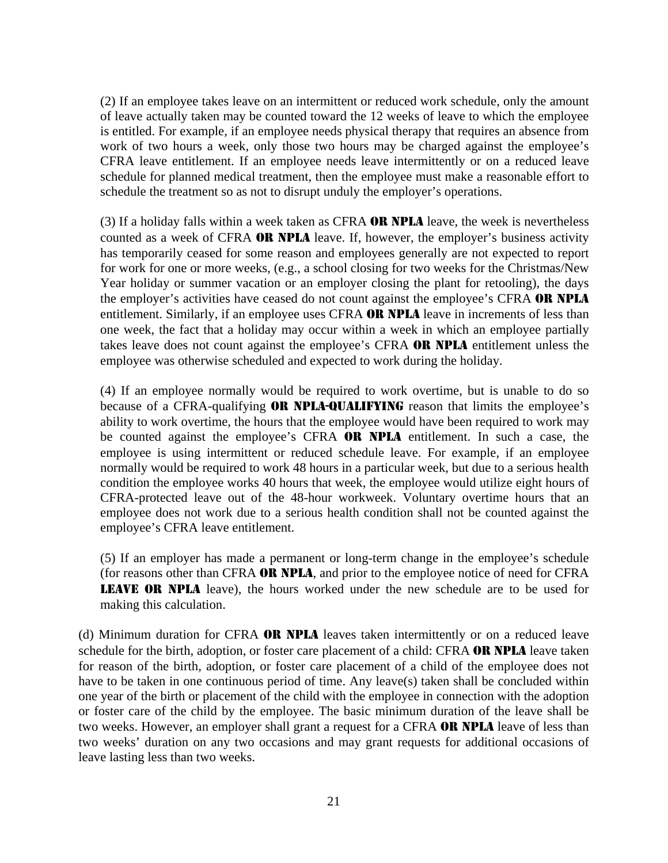(2) If an employee takes leave on an intermittent or reduced work schedule, only the amount of leave actually taken may be counted toward the 12 weeks of leave to which the employee is entitled. For example, if an employee needs physical therapy that requires an absence from work of two hours a week, only those two hours may be charged against the employee's CFRA leave entitlement. If an employee needs leave intermittently or on a reduced leave schedule for planned medical treatment, then the employee must make a reasonable effort to schedule the treatment so as not to disrupt unduly the employer's operations.

(3) If a holiday falls within a week taken as CFRA **OR NPLA** leave, the week is nevertheless counted as a week of CFRA OR NPLA leave. If, however, the employer's business activity has temporarily ceased for some reason and employees generally are not expected to report for work for one or more weeks, (e.g., a school closing for two weeks for the Christmas/New Year holiday or summer vacation or an employer closing the plant for retooling), the days the employer's activities have ceased do not count against the employee's CFRA OR NPLA entitlement. Similarly, if an employee uses CFRA **OR NPLA** leave in increments of less than one week, the fact that a holiday may occur within a week in which an employee partially takes leave does not count against the employee's CFRA OR NPLA entitlement unless the employee was otherwise scheduled and expected to work during the holiday.

(4) If an employee normally would be required to work overtime, but is unable to do so because of a CFRA-qualifying **OR NPLA-QUALIFYING** reason that limits the employee's ability to work overtime, the hours that the employee would have been required to work may be counted against the employee's CFRA OR NPLA entitlement. In such a case, the employee is using intermittent or reduced schedule leave. For example, if an employee normally would be required to work 48 hours in a particular week, but due to a serious health condition the employee works 40 hours that week, the employee would utilize eight hours of CFRA-protected leave out of the 48-hour workweek. Voluntary overtime hours that an employee does not work due to a serious health condition shall not be counted against the employee's CFRA leave entitlement.

(5) If an employer has made a permanent or long-term change in the employee's schedule (for reasons other than CFRA OR NPLA, and prior to the employee notice of need for CFRA LEAVE OR NPLA leave), the hours worked under the new schedule are to be used for making this calculation.

(d) Minimum duration for CFRA OR NPLA leaves taken intermittently or on a reduced leave schedule for the birth, adoption, or foster care placement of a child: CFRA OR NPLA leave taken for reason of the birth, adoption, or foster care placement of a child of the employee does not have to be taken in one continuous period of time. Any leave(s) taken shall be concluded within one year of the birth or placement of the child with the employee in connection with the adoption or foster care of the child by the employee. The basic minimum duration of the leave shall be two weeks. However, an employer shall grant a request for a CFRA **OR NPLA** leave of less than two weeks' duration on any two occasions and may grant requests for additional occasions of leave lasting less than two weeks.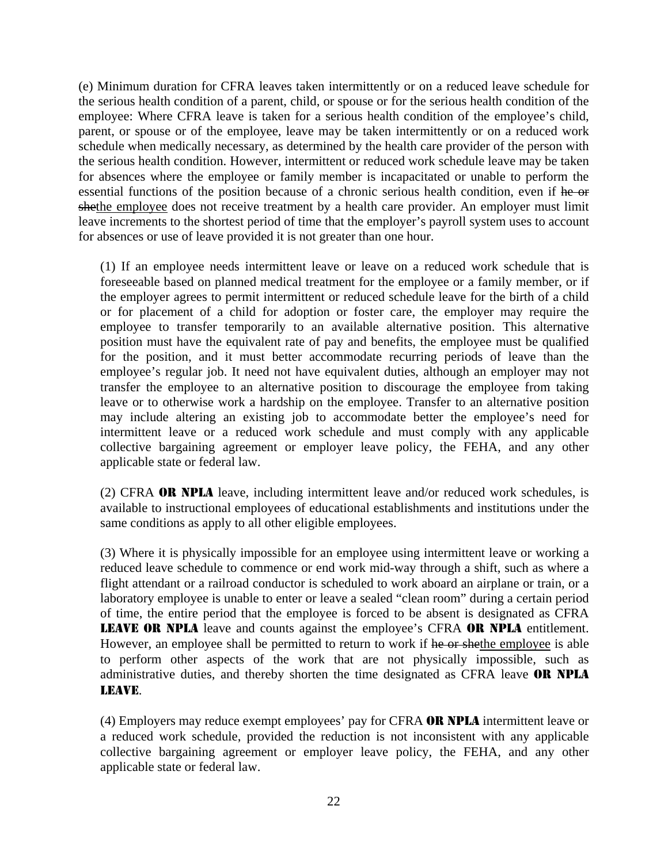(e) Minimum duration for CFRA leaves taken intermittently or on a reduced leave schedule for the serious health condition of a parent, child, or spouse or for the serious health condition of the employee: Where CFRA leave is taken for a serious health condition of the employee's child, parent, or spouse or of the employee, leave may be taken intermittently or on a reduced work schedule when medically necessary, as determined by the health care provider of the person with the serious health condition. However, intermittent or reduced work schedule leave may be taken for absences where the employee or family member is incapacitated or unable to perform the essential functions of the position because of a chronic serious health condition, even if he or shethe employee does not receive treatment by a health care provider. An employer must limit leave increments to the shortest period of time that the employer's payroll system uses to account for absences or use of leave provided it is not greater than one hour.

(1) If an employee needs intermittent leave or leave on a reduced work schedule that is foreseeable based on planned medical treatment for the employee or a family member, or if the employer agrees to permit intermittent or reduced schedule leave for the birth of a child or for placement of a child for adoption or foster care, the employer may require the employee to transfer temporarily to an available alternative position. This alternative position must have the equivalent rate of pay and benefits, the employee must be qualified for the position, and it must better accommodate recurring periods of leave than the employee's regular job. It need not have equivalent duties, although an employer may not transfer the employee to an alternative position to discourage the employee from taking leave or to otherwise work a hardship on the employee. Transfer to an alternative position may include altering an existing job to accommodate better the employee's need for intermittent leave or a reduced work schedule and must comply with any applicable collective bargaining agreement or employer leave policy, the FEHA, and any other applicable state or federal law.

(2) CFRA OR NPLA leave, including intermittent leave and/or reduced work schedules, is available to instructional employees of educational establishments and institutions under the same conditions as apply to all other eligible employees.

(3) Where it is physically impossible for an employee using intermittent leave or working a reduced leave schedule to commence or end work mid-way through a shift, such as where a flight attendant or a railroad conductor is scheduled to work aboard an airplane or train, or a laboratory employee is unable to enter or leave a sealed "clean room" during a certain period of time, the entire period that the employee is forced to be absent is designated as CFRA LEAVE OR NPLA leave and counts against the employee's CFRA OR NPLA entitlement. However, an employee shall be permitted to return to work if he or shethe employee is able to perform other aspects of the work that are not physically impossible, such as administrative duties, and thereby shorten the time designated as CFRA leave OR NPLA LEAVE.

(4) Employers may reduce exempt employees' pay for CFRA OR NPLA intermittent leave or a reduced work schedule, provided the reduction is not inconsistent with any applicable collective bargaining agreement or employer leave policy, the FEHA, and any other applicable state or federal law.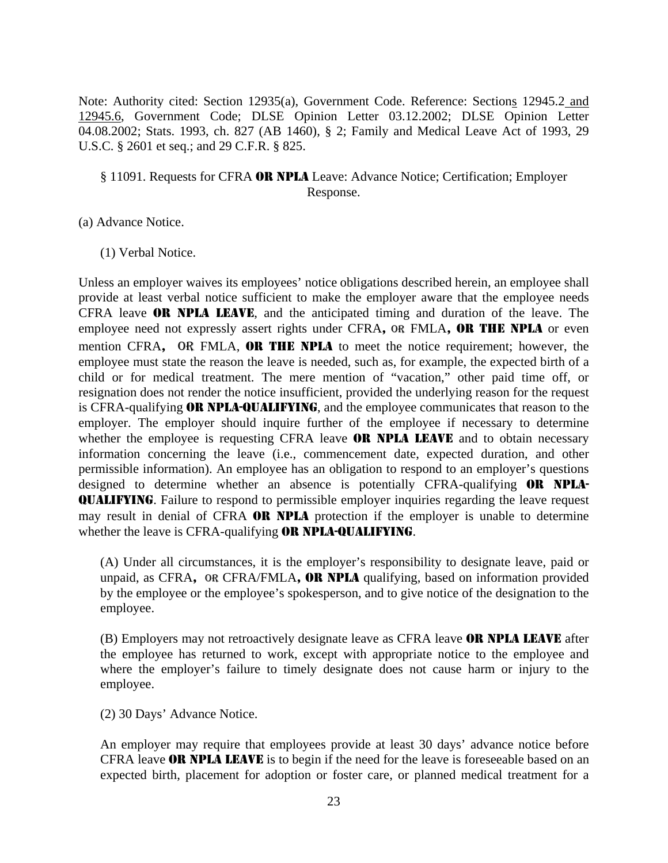Note: Authority cited: Section 12935(a), Government Code. Reference: Sections 12945.2 and 12945.6, Government Code; DLSE Opinion Letter 03.12.2002; DLSE Opinion Letter 04.08.2002; Stats. 1993, ch. 827 (AB 1460), § 2; Family and Medical Leave Act of 1993, 29 U.S.C. § 2601 et seq.; and 29 C.F.R. § 825.

#### § 11091. Requests for CFRA OR NPLA Leave: Advance Notice; Certification; Employer Response.

(a) Advance Notice.

(1) Verbal Notice.

Unless an employer waives its employees' notice obligations described herein, an employee shall provide at least verbal notice sufficient to make the employer aware that the employee needs CFRA leave OR NPLA LEAVE, and the anticipated timing and duration of the leave. The employee need not expressly assert rights under CFRA, OR FMLA, OR THE NPLA or even mention CFRA, OR FMLA, OR THE NPLA to meet the notice requirement; however, the employee must state the reason the leave is needed, such as, for example, the expected birth of a child or for medical treatment. The mere mention of "vacation," other paid time off, or resignation does not render the notice insufficient, provided the underlying reason for the request is CFRA-qualifying OR NPLA-QUALIFYING, and the employee communicates that reason to the employer. The employer should inquire further of the employee if necessary to determine whether the employee is requesting CFRA leave **OR NPLA LEAVE** and to obtain necessary information concerning the leave (i.e., commencement date, expected duration, and other permissible information). An employee has an obligation to respond to an employer's questions designed to determine whether an absence is potentially CFRA-qualifying OR NPLA-QUALIFYING. Failure to respond to permissible employer inquiries regarding the leave request may result in denial of CFRA **OR NPLA** protection if the employer is unable to determine whether the leave is CFRA-qualifying **OR NPLA-QUALIFYING**.

(A) Under all circumstances, it is the employer's responsibility to designate leave, paid or unpaid, as CFRA, OR CFRA/FMLA, **OR NPLA** qualifying, based on information provided by the employee or the employee's spokesperson, and to give notice of the designation to the employee.

(B) Employers may not retroactively designate leave as CFRA leave **OR NPLA LEAVE** after the employee has returned to work, except with appropriate notice to the employee and where the employer's failure to timely designate does not cause harm or injury to the employee.

(2) 30 Days' Advance Notice.

An employer may require that employees provide at least 30 days' advance notice before CFRA leave OR NPLA LEAVE is to begin if the need for the leave is foreseeable based on an expected birth, placement for adoption or foster care, or planned medical treatment for a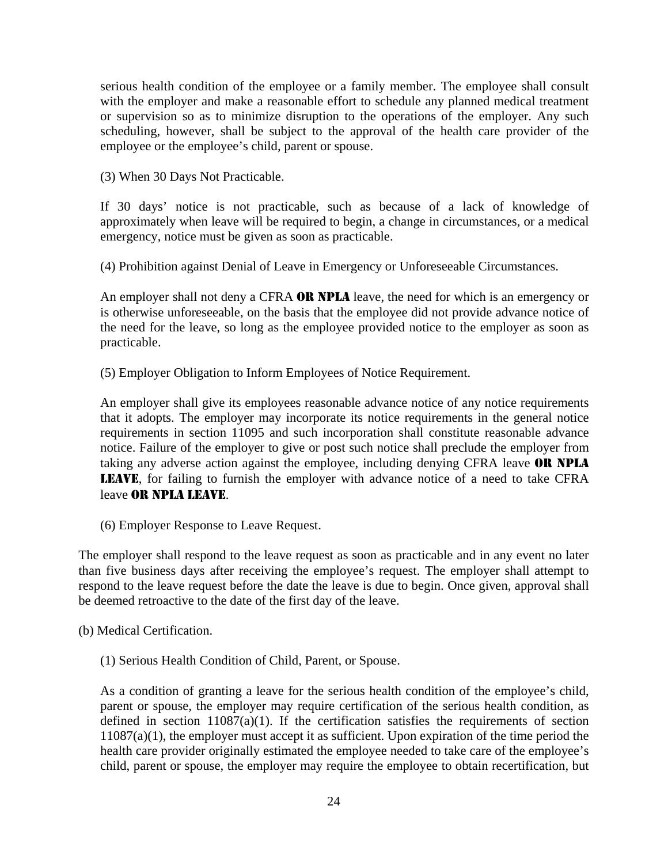serious health condition of the employee or a family member. The employee shall consult with the employer and make a reasonable effort to schedule any planned medical treatment or supervision so as to minimize disruption to the operations of the employer. Any such scheduling, however, shall be subject to the approval of the health care provider of the employee or the employee's child, parent or spouse.

(3) When 30 Days Not Practicable.

If 30 days' notice is not practicable, such as because of a lack of knowledge of approximately when leave will be required to begin, a change in circumstances, or a medical emergency, notice must be given as soon as practicable.

(4) Prohibition against Denial of Leave in Emergency or Unforeseeable Circumstances.

An employer shall not deny a CFRA OR NPLA leave, the need for which is an emergency or is otherwise unforeseeable, on the basis that the employee did not provide advance notice of the need for the leave, so long as the employee provided notice to the employer as soon as practicable.

(5) Employer Obligation to Inform Employees of Notice Requirement.

An employer shall give its employees reasonable advance notice of any notice requirements that it adopts. The employer may incorporate its notice requirements in the general notice requirements in section 11095 and such incorporation shall constitute reasonable advance notice. Failure of the employer to give or post such notice shall preclude the employer from taking any adverse action against the employee, including denying CFRA leave **OR NPLA** LEAVE, for failing to furnish the employer with advance notice of a need to take CFRA leave OR NPLA LEAVE.

(6) Employer Response to Leave Request.

The employer shall respond to the leave request as soon as practicable and in any event no later than five business days after receiving the employee's request. The employer shall attempt to respond to the leave request before the date the leave is due to begin. Once given, approval shall be deemed retroactive to the date of the first day of the leave.

(b) Medical Certification.

(1) Serious Health Condition of Child, Parent, or Spouse.

As a condition of granting a leave for the serious health condition of the employee's child, parent or spouse, the employer may require certification of the serious health condition, as defined in section  $11087(a)(1)$ . If the certification satisfies the requirements of section 11087(a)(1), the employer must accept it as sufficient. Upon expiration of the time period the health care provider originally estimated the employee needed to take care of the employee's child, parent or spouse, the employer may require the employee to obtain recertification, but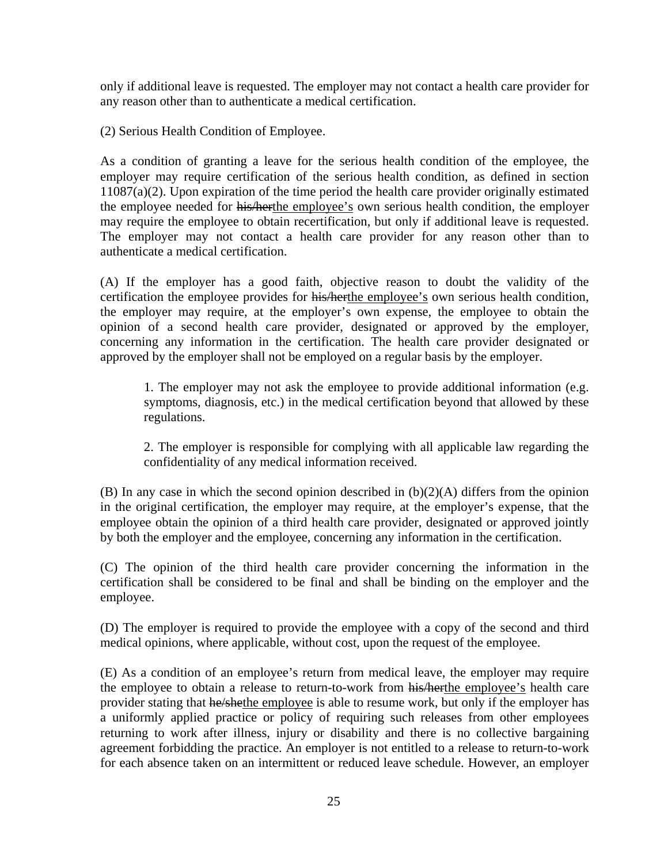only if additional leave is requested. The employer may not contact a health care provider for any reason other than to authenticate a medical certification.

(2) Serious Health Condition of Employee.

As a condition of granting a leave for the serious health condition of the employee, the employer may require certification of the serious health condition, as defined in section 11087(a)(2). Upon expiration of the time period the health care provider originally estimated the employee needed for his/herthe employee's own serious health condition, the employer may require the employee to obtain recertification, but only if additional leave is requested. The employer may not contact a health care provider for any reason other than to authenticate a medical certification.

(A) If the employer has a good faith, objective reason to doubt the validity of the certification the employee provides for his/herthe employee's own serious health condition, the employer may require, at the employer's own expense, the employee to obtain the opinion of a second health care provider, designated or approved by the employer, concerning any information in the certification. The health care provider designated or approved by the employer shall not be employed on a regular basis by the employer.

1. The employer may not ask the employee to provide additional information (e.g. symptoms, diagnosis, etc.) in the medical certification beyond that allowed by these regulations.

2. The employer is responsible for complying with all applicable law regarding the confidentiality of any medical information received.

(B) In any case in which the second opinion described in (b)(2)(A) differs from the opinion in the original certification, the employer may require, at the employer's expense, that the employee obtain the opinion of a third health care provider, designated or approved jointly by both the employer and the employee, concerning any information in the certification.

(C) The opinion of the third health care provider concerning the information in the certification shall be considered to be final and shall be binding on the employer and the employee.

(D) The employer is required to provide the employee with a copy of the second and third medical opinions, where applicable, without cost, upon the request of the employee.

(E) As a condition of an employee's return from medical leave, the employer may require the employee to obtain a release to return-to-work from his/herthe employee's health care provider stating that he/shethe employee is able to resume work, but only if the employer has a uniformly applied practice or policy of requiring such releases from other employees returning to work after illness, injury or disability and there is no collective bargaining agreement forbidding the practice. An employer is not entitled to a release to return-to-work for each absence taken on an intermittent or reduced leave schedule. However, an employer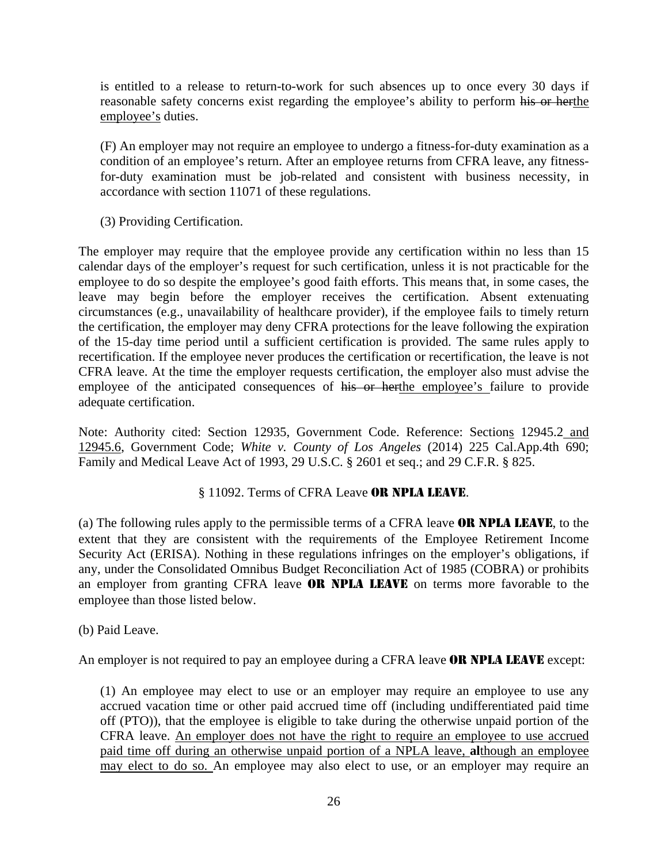is entitled to a release to return-to-work for such absences up to once every 30 days if reasonable safety concerns exist regarding the employee's ability to perform his or herthe employee's duties.

(F) An employer may not require an employee to undergo a fitness-for-duty examination as a condition of an employee's return. After an employee returns from CFRA leave, any fitnessfor-duty examination must be job-related and consistent with business necessity, in accordance with section 11071 of these regulations.

(3) Providing Certification.

The employer may require that the employee provide any certification within no less than 15 calendar days of the employer's request for such certification, unless it is not practicable for the employee to do so despite the employee's good faith efforts. This means that, in some cases, the leave may begin before the employer receives the certification. Absent extenuating circumstances (e.g., unavailability of healthcare provider), if the employee fails to timely return the certification, the employer may deny CFRA protections for the leave following the expiration of the 15-day time period until a sufficient certification is provided. The same rules apply to recertification. If the employee never produces the certification or recertification, the leave is not CFRA leave. At the time the employer requests certification, the employer also must advise the employee of the anticipated consequences of his or herthe employee's failure to provide adequate certification.

Note: Authority cited: Section 12935, Government Code. Reference: Sections 12945.2 and 12945.6, Government Code; *White v. County of Los Angeles* (2014) 225 Cal.App.4th 690; Family and Medical Leave Act of 1993, 29 U.S.C. § 2601 et seq.; and 29 C.F.R. § 825.

#### § 11092. Terms of CFRA Leave OR NPLA LEAVE.

(a) The following rules apply to the permissible terms of a CFRA leave OR NPLA LEAVE, to the extent that they are consistent with the requirements of the Employee Retirement Income Security Act (ERISA). Nothing in these regulations infringes on the employer's obligations, if any, under the Consolidated Omnibus Budget Reconciliation Act of 1985 (COBRA) or prohibits an employer from granting CFRA leave OR NPLA LEAVE on terms more favorable to the employee than those listed below.

(b) Paid Leave.

An employer is not required to pay an employee during a CFRA leave **OR NPLA LEAVE** except:

(1) An employee may elect to use or an employer may require an employee to use any accrued vacation time or other paid accrued time off (including undifferentiated paid time off (PTO)), that the employee is eligible to take during the otherwise unpaid portion of the CFRA leave. An employer does not have the right to require an employee to use accrued paid time off during an otherwise unpaid portion of a NPLA leave, **al**though an employee may elect to do so. An employee may also elect to use, or an employer may require an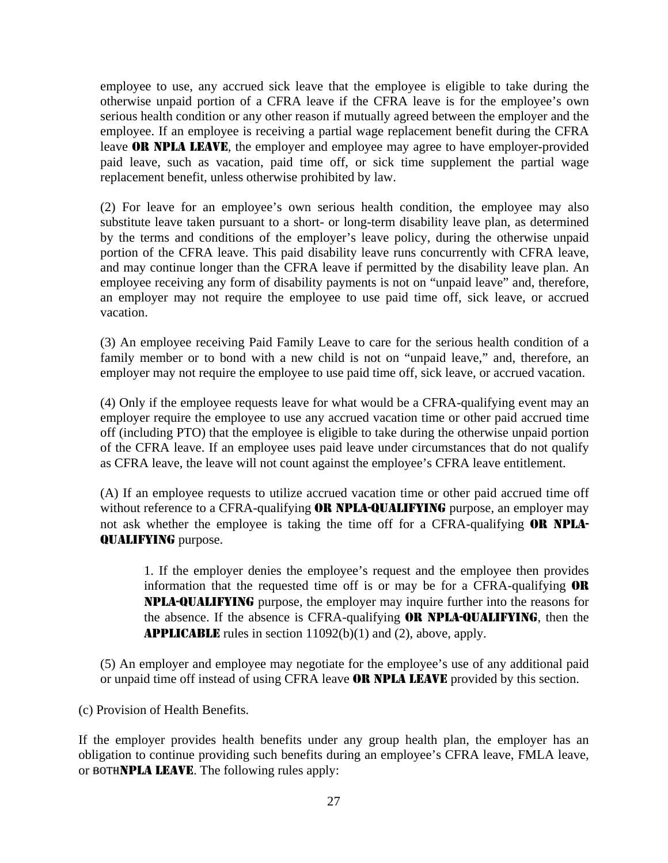employee to use, any accrued sick leave that the employee is eligible to take during the otherwise unpaid portion of a CFRA leave if the CFRA leave is for the employee's own serious health condition or any other reason if mutually agreed between the employer and the employee. If an employee is receiving a partial wage replacement benefit during the CFRA leave **OR NPLA LEAVE**, the employer and employee may agree to have employer-provided paid leave, such as vacation, paid time off, or sick time supplement the partial wage replacement benefit, unless otherwise prohibited by law.

(2) For leave for an employee's own serious health condition, the employee may also substitute leave taken pursuant to a short- or long-term disability leave plan, as determined by the terms and conditions of the employer's leave policy, during the otherwise unpaid portion of the CFRA leave. This paid disability leave runs concurrently with CFRA leave, and may continue longer than the CFRA leave if permitted by the disability leave plan. An employee receiving any form of disability payments is not on "unpaid leave" and, therefore, an employer may not require the employee to use paid time off, sick leave, or accrued vacation.

(3) An employee receiving Paid Family Leave to care for the serious health condition of a family member or to bond with a new child is not on "unpaid leave," and, therefore, an employer may not require the employee to use paid time off, sick leave, or accrued vacation.

(4) Only if the employee requests leave for what would be a CFRA-qualifying event may an employer require the employee to use any accrued vacation time or other paid accrued time off (including PTO) that the employee is eligible to take during the otherwise unpaid portion of the CFRA leave. If an employee uses paid leave under circumstances that do not qualify as CFRA leave, the leave will not count against the employee's CFRA leave entitlement.

(A) If an employee requests to utilize accrued vacation time or other paid accrued time off without reference to a CFRA-qualifying **OR NPLA-QUALIFYING** purpose, an employer may not ask whether the employee is taking the time off for a CFRA-qualifying **OR NPLA-**QUALIFYING purpose.

1. If the employer denies the employee's request and the employee then provides information that the requested time off is or may be for a CFRA-qualifying OR NPLA-QUALIFYING purpose, the employer may inquire further into the reasons for the absence. If the absence is CFRA-qualifying **OR NPLA-QUALIFYING**, then the APPLICABLE rules in section 11092(b)(1) and (2), above, apply.

(5) An employer and employee may negotiate for the employee's use of any additional paid or unpaid time off instead of using CFRA leave **OR NPLA LEAVE** provided by this section.

(c) Provision of Health Benefits.

If the employer provides health benefits under any group health plan, the employer has an obligation to continue providing such benefits during an employee's CFRA leave, FMLA leave, or BOTHNPLA LEAVE. The following rules apply: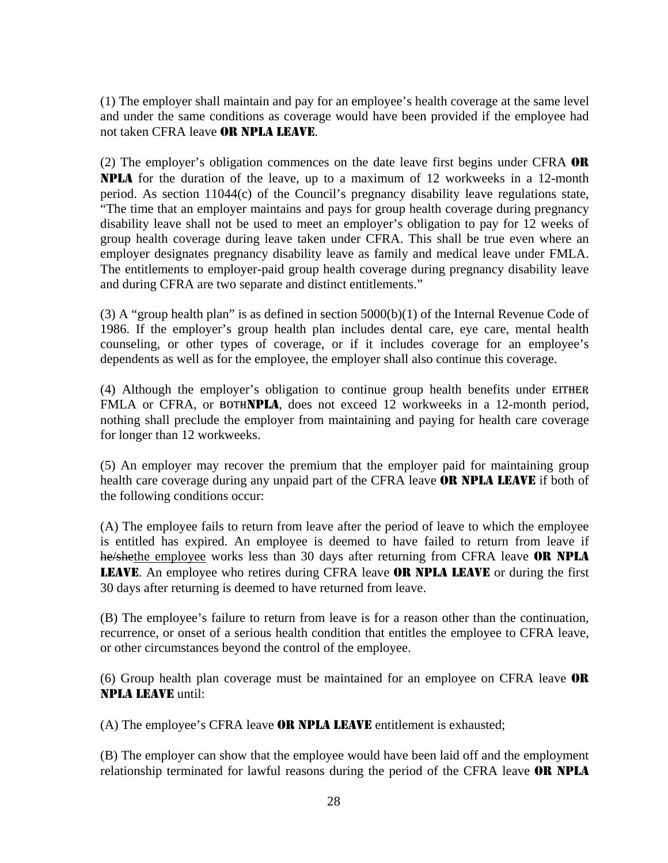(1) The employer shall maintain and pay for an employee's health coverage at the same level and under the same conditions as coverage would have been provided if the employee had not taken CFRA leave OR NPLA LEAVE.

(2) The employer's obligation commences on the date leave first begins under CFRA  $\overline{OR}$ NPLA for the duration of the leave, up to a maximum of 12 workweeks in a 12-month period. As section 11044(c) of the Council's pregnancy disability leave regulations state, "The time that an employer maintains and pays for group health coverage during pregnancy disability leave shall not be used to meet an employer's obligation to pay for 12 weeks of group health coverage during leave taken under CFRA. This shall be true even where an employer designates pregnancy disability leave as family and medical leave under FMLA. The entitlements to employer-paid group health coverage during pregnancy disability leave and during CFRA are two separate and distinct entitlements."

(3) A "group health plan" is as defined in section  $5000(b)(1)$  of the Internal Revenue Code of 1986. If the employer's group health plan includes dental care, eye care, mental health counseling, or other types of coverage, or if it includes coverage for an employee's dependents as well as for the employee, the employer shall also continue this coverage.

(4) Although the employer's obligation to continue group health benefits under EITHER FMLA or CFRA, or BOTHNPLA, does not exceed 12 workweeks in a 12-month period, nothing shall preclude the employer from maintaining and paying for health care coverage for longer than 12 workweeks.

(5) An employer may recover the premium that the employer paid for maintaining group health care coverage during any unpaid part of the CFRA leave **OR NPLA LEAVE** if both of the following conditions occur:

(A) The employee fails to return from leave after the period of leave to which the employee is entitled has expired. An employee is deemed to have failed to return from leave if he/shethe employee works less than 30 days after returning from CFRA leave **OR NPLA** LEAVE. An employee who retires during CFRA leave OR NPLA LEAVE or during the first 30 days after returning is deemed to have returned from leave.

(B) The employee's failure to return from leave is for a reason other than the continuation, recurrence, or onset of a serious health condition that entitles the employee to CFRA leave, or other circumstances beyond the control of the employee.

(6) Group health plan coverage must be maintained for an employee on CFRA leave OR NPLA LEAVE until:

(A) The employee's CFRA leave OR NPLA LEAVE entitlement is exhausted;

(B) The employer can show that the employee would have been laid off and the employment relationship terminated for lawful reasons during the period of the CFRA leave OR NPLA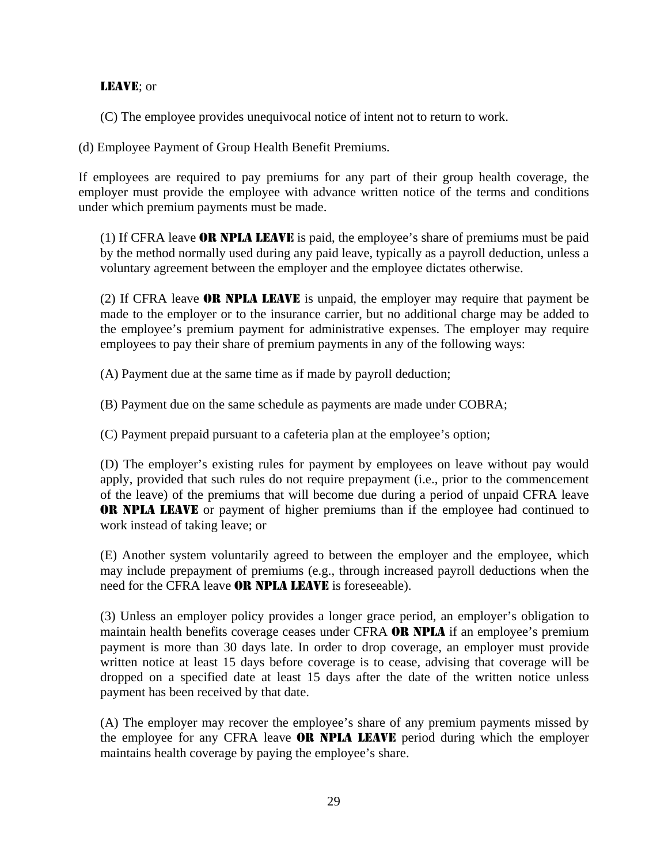#### LEAVE; or

(C) The employee provides unequivocal notice of intent not to return to work.

(d) Employee Payment of Group Health Benefit Premiums.

If employees are required to pay premiums for any part of their group health coverage, the employer must provide the employee with advance written notice of the terms and conditions under which premium payments must be made.

(1) If CFRA leave OR NPLA LEAVE is paid, the employee's share of premiums must be paid by the method normally used during any paid leave, typically as a payroll deduction, unless a voluntary agreement between the employer and the employee dictates otherwise.

(2) If CFRA leave **OR NPLA LEAVE** is unpaid, the employer may require that payment be made to the employer or to the insurance carrier, but no additional charge may be added to the employee's premium payment for administrative expenses. The employer may require employees to pay their share of premium payments in any of the following ways:

(A) Payment due at the same time as if made by payroll deduction;

(B) Payment due on the same schedule as payments are made under COBRA;

(C) Payment prepaid pursuant to a cafeteria plan at the employee's option;

(D) The employer's existing rules for payment by employees on leave without pay would apply, provided that such rules do not require prepayment (i.e., prior to the commencement of the leave) of the premiums that will become due during a period of unpaid CFRA leave OR NPLA LEAVE or payment of higher premiums than if the employee had continued to work instead of taking leave; or

(E) Another system voluntarily agreed to between the employer and the employee, which may include prepayment of premiums (e.g., through increased payroll deductions when the need for the CFRA leave **OR NPLA LEAVE** is foreseeable).

(3) Unless an employer policy provides a longer grace period, an employer's obligation to maintain health benefits coverage ceases under CFRA OR NPLA if an employee's premium payment is more than 30 days late. In order to drop coverage, an employer must provide written notice at least 15 days before coverage is to cease, advising that coverage will be dropped on a specified date at least 15 days after the date of the written notice unless payment has been received by that date.

(A) The employer may recover the employee's share of any premium payments missed by the employee for any CFRA leave **OR NPLA LEAVE** period during which the employer maintains health coverage by paying the employee's share.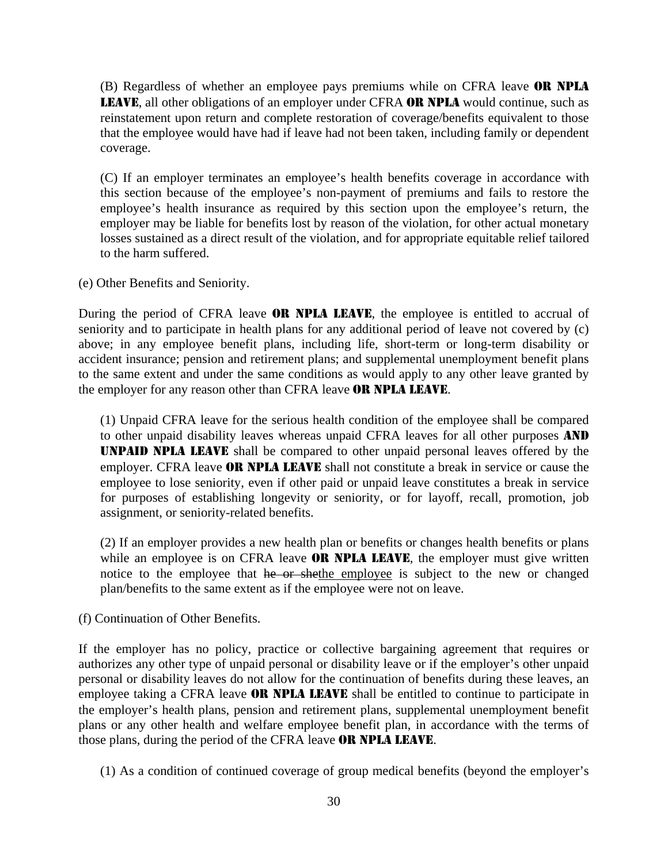(B) Regardless of whether an employee pays premiums while on CFRA leave OR NPLA LEAVE, all other obligations of an employer under CFRA OR NPLA would continue, such as reinstatement upon return and complete restoration of coverage/benefits equivalent to those that the employee would have had if leave had not been taken, including family or dependent coverage.

(C) If an employer terminates an employee's health benefits coverage in accordance with this section because of the employee's non-payment of premiums and fails to restore the employee's health insurance as required by this section upon the employee's return, the employer may be liable for benefits lost by reason of the violation, for other actual monetary losses sustained as a direct result of the violation, and for appropriate equitable relief tailored to the harm suffered.

(e) Other Benefits and Seniority.

During the period of CFRA leave **OR NPLA LEAVE**, the employee is entitled to accrual of seniority and to participate in health plans for any additional period of leave not covered by (c) above; in any employee benefit plans, including life, short-term or long-term disability or accident insurance; pension and retirement plans; and supplemental unemployment benefit plans to the same extent and under the same conditions as would apply to any other leave granted by the employer for any reason other than CFRA leave OR NPLA LEAVE.

(1) Unpaid CFRA leave for the serious health condition of the employee shall be compared to other unpaid disability leaves whereas unpaid CFRA leaves for all other purposes AND UNPAID NPLA LEAVE shall be compared to other unpaid personal leaves offered by the employer. CFRA leave **OR NPLA LEAVE** shall not constitute a break in service or cause the employee to lose seniority, even if other paid or unpaid leave constitutes a break in service for purposes of establishing longevity or seniority, or for layoff, recall, promotion, job assignment, or seniority-related benefits.

(2) If an employer provides a new health plan or benefits or changes health benefits or plans while an employee is on CFRA leave **OR NPLA LEAVE**, the employer must give written notice to the employee that he or shethe employee is subject to the new or changed plan/benefits to the same extent as if the employee were not on leave.

(f) Continuation of Other Benefits.

If the employer has no policy, practice or collective bargaining agreement that requires or authorizes any other type of unpaid personal or disability leave or if the employer's other unpaid personal or disability leaves do not allow for the continuation of benefits during these leaves, an employee taking a CFRA leave **OR NPLA LEAVE** shall be entitled to continue to participate in the employer's health plans, pension and retirement plans, supplemental unemployment benefit plans or any other health and welfare employee benefit plan, in accordance with the terms of those plans, during the period of the CFRA leave **OR NPLA LEAVE**.

(1) As a condition of continued coverage of group medical benefits (beyond the employer's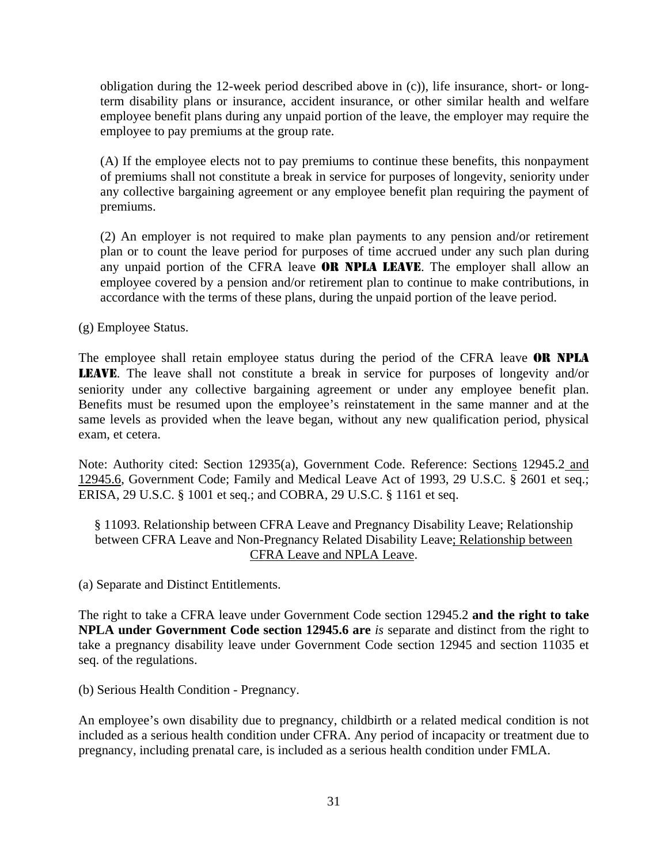obligation during the 12-week period described above in (c)), life insurance, short- or longterm disability plans or insurance, accident insurance, or other similar health and welfare employee benefit plans during any unpaid portion of the leave, the employer may require the employee to pay premiums at the group rate.

(A) If the employee elects not to pay premiums to continue these benefits, this nonpayment of premiums shall not constitute a break in service for purposes of longevity, seniority under any collective bargaining agreement or any employee benefit plan requiring the payment of premiums.

(2) An employer is not required to make plan payments to any pension and/or retirement plan or to count the leave period for purposes of time accrued under any such plan during any unpaid portion of the CFRA leave **OR NPLA LEAVE**. The employer shall allow an employee covered by a pension and/or retirement plan to continue to make contributions, in accordance with the terms of these plans, during the unpaid portion of the leave period.

(g) Employee Status.

The employee shall retain employee status during the period of the CFRA leave **OR NPLA** LEAVE. The leave shall not constitute a break in service for purposes of longevity and/or seniority under any collective bargaining agreement or under any employee benefit plan. Benefits must be resumed upon the employee's reinstatement in the same manner and at the same levels as provided when the leave began, without any new qualification period, physical exam, et cetera.

Note: Authority cited: Section 12935(a), Government Code. Reference: Sections 12945.2 and 12945.6, Government Code; Family and Medical Leave Act of 1993, 29 U.S.C. § 2601 et seq.; ERISA, 29 U.S.C. § 1001 et seq.; and COBRA, 29 U.S.C. § 1161 et seq.

§ 11093. Relationship between CFRA Leave and Pregnancy Disability Leave; Relationship between CFRA Leave and Non-Pregnancy Related Disability Leave; Relationship between CFRA Leave and NPLA Leave.

(a) Separate and Distinct Entitlements.

The right to take a CFRA leave under Government Code section 12945.2 **and the right to take NPLA under Government Code section 12945.6 are** *is* separate and distinct from the right to take a pregnancy disability leave under Government Code section 12945 and section 11035 et seq. of the regulations.

(b) Serious Health Condition - Pregnancy.

An employee's own disability due to pregnancy, childbirth or a related medical condition is not included as a serious health condition under CFRA. Any period of incapacity or treatment due to pregnancy, including prenatal care, is included as a serious health condition under FMLA.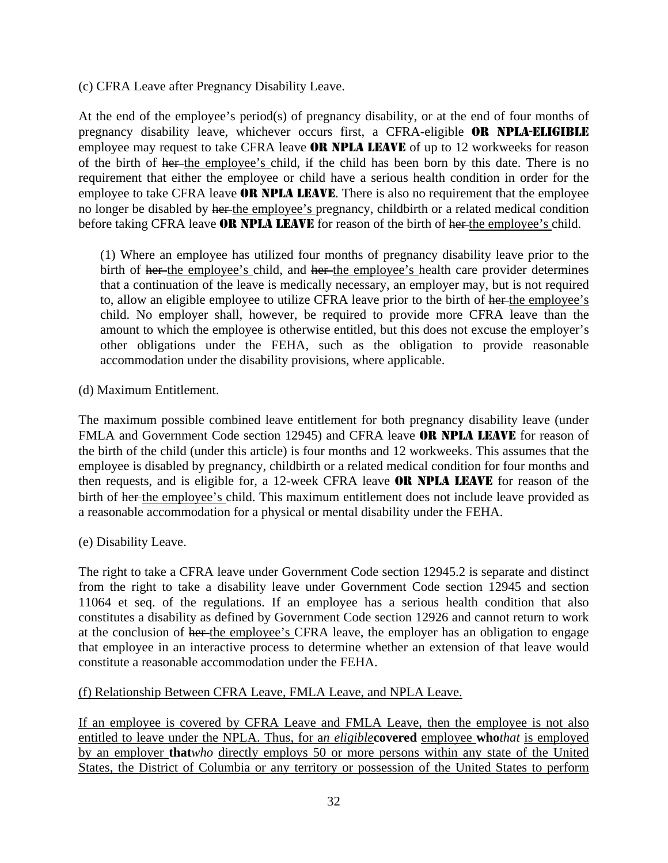(c) CFRA Leave after Pregnancy Disability Leave.

At the end of the employee's period(s) of pregnancy disability, or at the end of four months of pregnancy disability leave, whichever occurs first, a CFRA-eligible OR NPLA-ELIGIBLE employee may request to take CFRA leave **OR NPLA LEAVE** of up to 12 workweeks for reason of the birth of her the employee's child, if the child has been born by this date. There is no requirement that either the employee or child have a serious health condition in order for the employee to take CFRA leave **OR NPLA LEAVE**. There is also no requirement that the employee no longer be disabled by her the employee's pregnancy, childbirth or a related medical condition before taking CFRA leave **OR NPLA LEAVE** for reason of the birth of her the employee's child.

(1) Where an employee has utilized four months of pregnancy disability leave prior to the birth of her the employee's child, and her the employee's health care provider determines that a continuation of the leave is medically necessary, an employer may, but is not required to, allow an eligible employee to utilize CFRA leave prior to the birth of her-the employee's child. No employer shall, however, be required to provide more CFRA leave than the amount to which the employee is otherwise entitled, but this does not excuse the employer's other obligations under the FEHA, such as the obligation to provide reasonable accommodation under the disability provisions, where applicable.

(d) Maximum Entitlement.

The maximum possible combined leave entitlement for both pregnancy disability leave (under FMLA and Government Code section 12945) and CFRA leave **OR NPLA LEAVE** for reason of the birth of the child (under this article) is four months and 12 workweeks. This assumes that the employee is disabled by pregnancy, childbirth or a related medical condition for four months and then requests, and is eligible for, a 12-week CFRA leave OR NPLA LEAVE for reason of the birth of her the employee's child. This maximum entitlement does not include leave provided as a reasonable accommodation for a physical or mental disability under the FEHA.

(e) Disability Leave.

The right to take a CFRA leave under Government Code section 12945.2 is separate and distinct from the right to take a disability leave under Government Code section 12945 and section 11064 et seq. of the regulations. If an employee has a serious health condition that also constitutes a disability as defined by Government Code section 12926 and cannot return to work at the conclusion of her the employee's CFRA leave, the employer has an obligation to engage that employee in an interactive process to determine whether an extension of that leave would constitute a reasonable accommodation under the FEHA.

#### (f) Relationship Between CFRA Leave, FMLA Leave, and NPLA Leave.

If an employee is covered by CFRA Leave and FMLA Leave, then the employee is not also entitled to leave under the NPLA. Thus, for a*n eligible***covered** employee **who***that* is employed by an employer **that***who* directly employs 50 or more persons within any state of the United States, the District of Columbia or any territory or possession of the United States to perform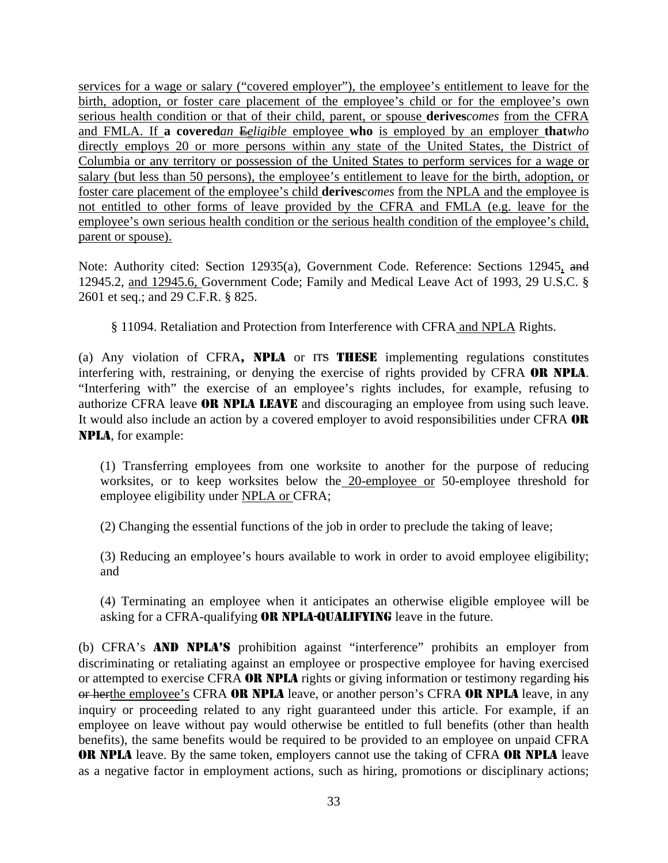services for a wage or salary ("covered employer"), the employee's entitlement to leave for the birth, adoption, or foster care placement of the employee's child or for the employee's own serious health condition or that of their child, parent, or spouse **derives***comes* from the CFRA and FMLA. If **a covered***an* E*eligible* employee **who** is employed by an employer **that***who* directly employs 20 or more persons within any state of the United States, the District of Columbia or any territory or possession of the United States to perform services for a wage or salary (but less than 50 persons), the employee's entitlement to leave for the birth, adoption, or foster care placement of the employee's child **derives***comes* from the NPLA and the employee is not entitled to other forms of leave provided by the CFRA and FMLA (e.g. leave for the employee's own serious health condition or the serious health condition of the employee's child, parent or spouse).

Note: Authority cited: Section 12935(a), Government Code. Reference: Sections 12945, and 12945.2, and 12945.6, Government Code; Family and Medical Leave Act of 1993, 29 U.S.C. § 2601 et seq.; and 29 C.F.R. § 825.

§ 11094. Retaliation and Protection from Interference with CFRA and NPLA Rights.

(a) Any violation of CFRA, NPLA or ITS THESE implementing regulations constitutes interfering with, restraining, or denying the exercise of rights provided by CFRA OR NPLA. "Interfering with" the exercise of an employee's rights includes, for example, refusing to authorize CFRA leave **OR NPLA LEAVE** and discouraging an employee from using such leave. It would also include an action by a covered employer to avoid responsibilities under CFRA OR NPLA, for example:

(1) Transferring employees from one worksite to another for the purpose of reducing worksites, or to keep worksites below the 20-employee or 50-employee threshold for employee eligibility under NPLA or CFRA;

(2) Changing the essential functions of the job in order to preclude the taking of leave;

(3) Reducing an employee's hours available to work in order to avoid employee eligibility; and

(4) Terminating an employee when it anticipates an otherwise eligible employee will be asking for a CFRA-qualifying **OR NPLA-QUALIFYING** leave in the future.

(b) CFRA's AND NPLA'S prohibition against "interference" prohibits an employer from discriminating or retaliating against an employee or prospective employee for having exercised or attempted to exercise CFRA OR NPLA rights or giving information or testimony regarding his or herthe employee's CFRA OR NPLA leave, or another person's CFRA OR NPLA leave, in any inquiry or proceeding related to any right guaranteed under this article. For example, if an employee on leave without pay would otherwise be entitled to full benefits (other than health benefits), the same benefits would be required to be provided to an employee on unpaid CFRA **OR NPLA** leave. By the same token, employers cannot use the taking of CFRA OR NPLA leave as a negative factor in employment actions, such as hiring, promotions or disciplinary actions;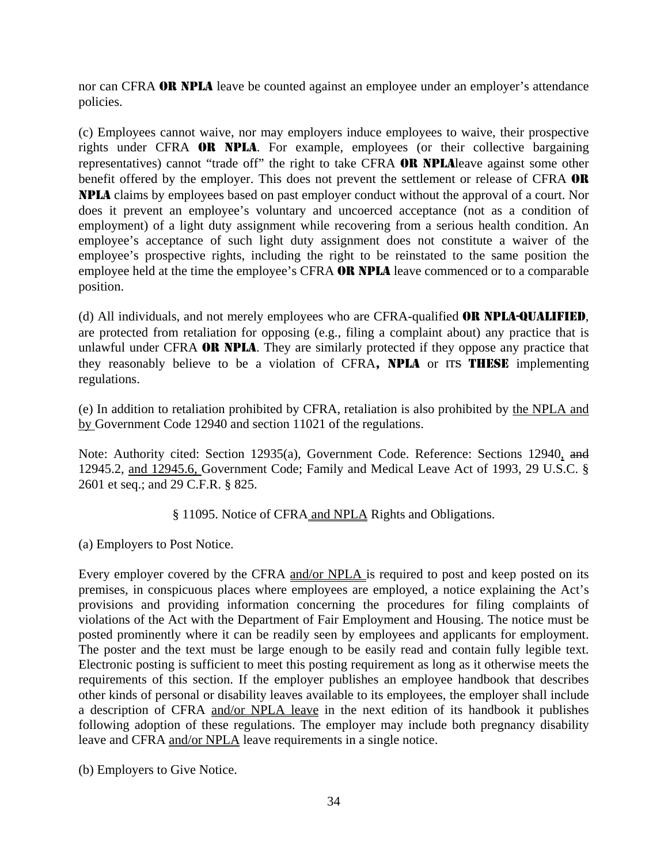nor can CFRA **OR NPLA** leave be counted against an employee under an employer's attendance policies.

(c) Employees cannot waive, nor may employers induce employees to waive, their prospective rights under CFRA OR NPLA. For example, employees (or their collective bargaining representatives) cannot "trade off" the right to take CFRA OR NPLAleave against some other benefit offered by the employer. This does not prevent the settlement or release of CFRA OR NPLA claims by employees based on past employer conduct without the approval of a court. Nor does it prevent an employee's voluntary and uncoerced acceptance (not as a condition of employment) of a light duty assignment while recovering from a serious health condition. An employee's acceptance of such light duty assignment does not constitute a waiver of the employee's prospective rights, including the right to be reinstated to the same position the employee held at the time the employee's CFRA OR NPLA leave commenced or to a comparable position.

(d) All individuals, and not merely employees who are CFRA-qualified OR NPLA-QUALIFIED, are protected from retaliation for opposing (e.g., filing a complaint about) any practice that is unlawful under CFRA **OR NPLA**. They are similarly protected if they oppose any practice that they reasonably believe to be a violation of CFRA, NPLA or ITS THESE implementing regulations.

(e) In addition to retaliation prohibited by CFRA, retaliation is also prohibited by the NPLA and by Government Code 12940 and section 11021 of the regulations.

Note: Authority cited: Section 12935(a), Government Code. Reference: Sections 12940, and 12945.2, and 12945.6, Government Code; Family and Medical Leave Act of 1993, 29 U.S.C. § 2601 et seq.; and 29 C.F.R. § 825.

§ 11095. Notice of CFRA and NPLA Rights and Obligations.

(a) Employers to Post Notice.

Every employer covered by the CFRA and/or NPLA is required to post and keep posted on its premises, in conspicuous places where employees are employed, a notice explaining the Act's provisions and providing information concerning the procedures for filing complaints of violations of the Act with the Department of Fair Employment and Housing. The notice must be posted prominently where it can be readily seen by employees and applicants for employment. The poster and the text must be large enough to be easily read and contain fully legible text. Electronic posting is sufficient to meet this posting requirement as long as it otherwise meets the requirements of this section. If the employer publishes an employee handbook that describes other kinds of personal or disability leaves available to its employees, the employer shall include a description of CFRA and/or NPLA leave in the next edition of its handbook it publishes following adoption of these regulations. The employer may include both pregnancy disability leave and CFRA and/or NPLA leave requirements in a single notice.

(b) Employers to Give Notice.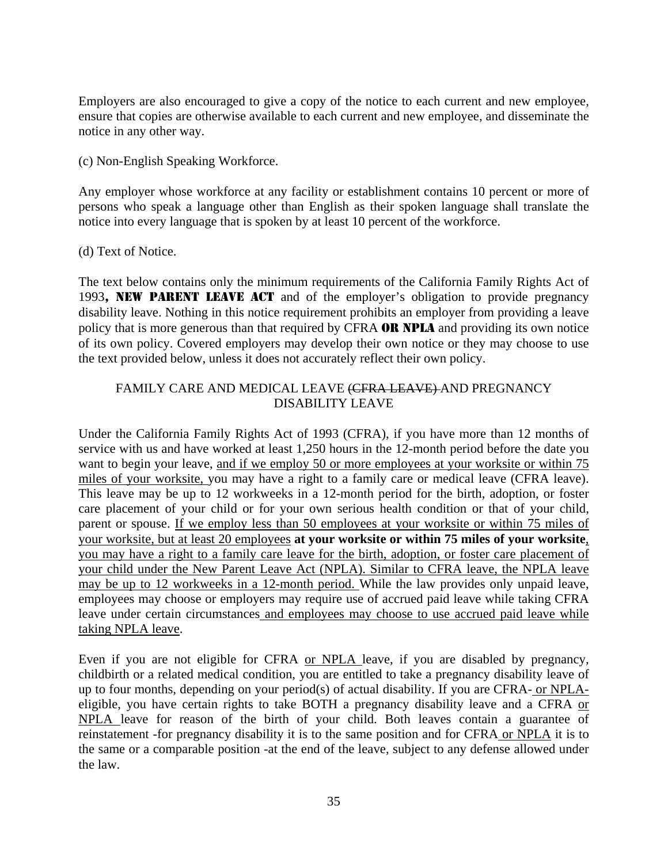Employers are also encouraged to give a copy of the notice to each current and new employee, ensure that copies are otherwise available to each current and new employee, and disseminate the notice in any other way.

(c) Non-English Speaking Workforce.

Any employer whose workforce at any facility or establishment contains 10 percent or more of persons who speak a language other than English as their spoken language shall translate the notice into every language that is spoken by at least 10 percent of the workforce.

(d) Text of Notice.

The text below contains only the minimum requirements of the California Family Rights Act of 1993, NEW PARENT LEAVE ACT and of the employer's obligation to provide pregnancy disability leave. Nothing in this notice requirement prohibits an employer from providing a leave policy that is more generous than that required by CFRA **OR NPLA** and providing its own notice of its own policy. Covered employers may develop their own notice or they may choose to use the text provided below, unless it does not accurately reflect their own policy.

#### FAMILY CARE AND MEDICAL LEAVE (CFRA LEAVE) AND PREGNANCY DISABILITY LEAVE

Under the California Family Rights Act of 1993 (CFRA), if you have more than 12 months of service with us and have worked at least 1,250 hours in the 12-month period before the date you want to begin your leave, and if we employ 50 or more employees at your worksite or within 75 miles of your worksite, you may have a right to a family care or medical leave (CFRA leave). This leave may be up to 12 workweeks in a 12-month period for the birth, adoption, or foster care placement of your child or for your own serious health condition or that of your child, parent or spouse. If we employ less than 50 employees at your worksite or within 75 miles of your worksite, but at least 20 employees **at your worksite or within 75 miles of your worksite**, you may have a right to a family care leave for the birth, adoption, or foster care placement of your child under the New Parent Leave Act (NPLA). Similar to CFRA leave, the NPLA leave may be up to 12 workweeks in a 12-month period. While the law provides only unpaid leave, employees may choose or employers may require use of accrued paid leave while taking CFRA leave under certain circumstances and employees may choose to use accrued paid leave while taking NPLA leave.

Even if you are not eligible for CFRA or NPLA leave, if you are disabled by pregnancy, childbirth or a related medical condition, you are entitled to take a pregnancy disability leave of up to four months, depending on your period(s) of actual disability. If you are CFRA- or NPLAeligible, you have certain rights to take BOTH a pregnancy disability leave and a CFRA or NPLA leave for reason of the birth of your child. Both leaves contain a guarantee of reinstatement -for pregnancy disability it is to the same position and for CFRA or NPLA it is to the same or a comparable position -at the end of the leave, subject to any defense allowed under the law.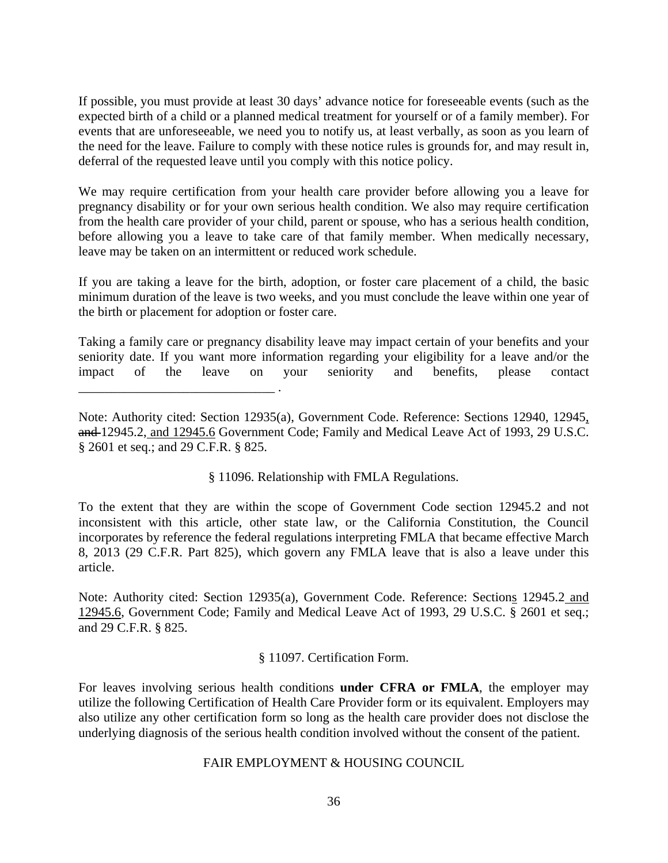If possible, you must provide at least 30 days' advance notice for foreseeable events (such as the expected birth of a child or a planned medical treatment for yourself or of a family member). For events that are unforeseeable, we need you to notify us, at least verbally, as soon as you learn of the need for the leave. Failure to comply with these notice rules is grounds for, and may result in, deferral of the requested leave until you comply with this notice policy.

We may require certification from your health care provider before allowing you a leave for pregnancy disability or for your own serious health condition. We also may require certification from the health care provider of your child, parent or spouse, who has a serious health condition, before allowing you a leave to take care of that family member. When medically necessary, leave may be taken on an intermittent or reduced work schedule.

If you are taking a leave for the birth, adoption, or foster care placement of a child, the basic minimum duration of the leave is two weeks, and you must conclude the leave within one year of the birth or placement for adoption or foster care.

Taking a family care or pregnancy disability leave may impact certain of your benefits and your seniority date. If you want more information regarding your eligibility for a leave and/or the impact of the leave on your seniority and benefits, please contact

\_\_\_\_\_\_\_\_\_\_\_\_\_\_\_\_\_\_\_\_\_\_\_\_\_\_\_\_\_\_ .

§ 11096. Relationship with FMLA Regulations.

To the extent that they are within the scope of Government Code section 12945.2 and not inconsistent with this article, other state law, or the California Constitution, the Council incorporates by reference the federal regulations interpreting FMLA that became effective March 8, 2013 (29 C.F.R. Part 825), which govern any FMLA leave that is also a leave under this article.

Note: Authority cited: Section 12935(a), Government Code. Reference: Sections 12945.2 and 12945.6, Government Code; Family and Medical Leave Act of 1993, 29 U.S.C. § 2601 et seq.; and 29 C.F.R. § 825.

#### § 11097. Certification Form.

For leaves involving serious health conditions **under CFRA or FMLA**, the employer may utilize the following Certification of Health Care Provider form or its equivalent. Employers may also utilize any other certification form so long as the health care provider does not disclose the underlying diagnosis of the serious health condition involved without the consent of the patient.

#### FAIR EMPLOYMENT & HOUSING COUNCIL

Note: Authority cited: Section 12935(a), Government Code. Reference: Sections 12940, 12945, and 12945.2, and 12945.6 Government Code; Family and Medical Leave Act of 1993, 29 U.S.C. § 2601 et seq.; and 29 C.F.R. § 825.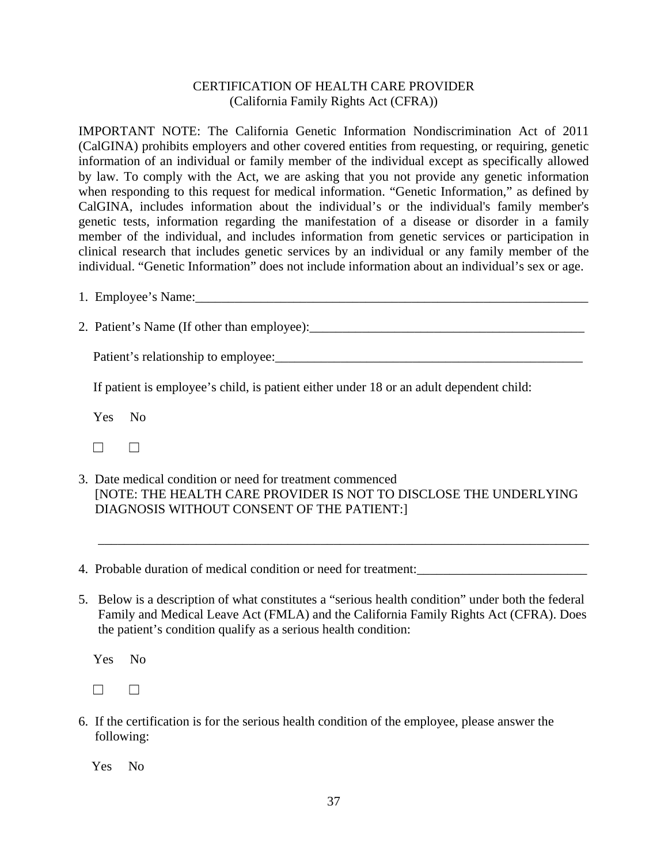#### CERTIFICATION OF HEALTH CARE PROVIDER (California Family Rights Act (CFRA))

IMPORTANT NOTE: The California Genetic Information Nondiscrimination Act of 2011 (CalGINA) prohibits employers and other covered entities from requesting, or requiring, genetic information of an individual or family member of the individual except as specifically allowed by law. To comply with the Act, we are asking that you not provide any genetic information when responding to this request for medical information. "Genetic Information," as defined by CalGINA, includes information about the individual's or the individual's family member's genetic tests, information regarding the manifestation of a disease or disorder in a family member of the individual, and includes information from genetic services or participation in clinical research that includes genetic services by an individual or any family member of the individual. "Genetic Information" does not include information about an individual's sex or age.

1. Employee's Name:

2. Patient's Name (If other than employee):

Patient's relationship to employee:\_\_\_\_\_\_\_\_\_\_\_\_\_\_\_\_\_\_\_\_\_\_\_\_\_\_\_\_\_\_\_\_\_\_\_\_\_\_\_\_\_\_\_\_\_\_\_

If patient is employee's child, is patient either under 18 or an adult dependent child:

Yes No

☐ ☐

3. Date medical condition or need for treatment commenced [NOTE: THE HEALTH CARE PROVIDER IS NOT TO DISCLOSE THE UNDERLYING DIAGNOSIS WITHOUT CONSENT OF THE PATIENT:]

\_\_\_\_\_\_\_\_\_\_\_\_\_\_\_\_\_\_\_\_\_\_\_\_\_\_\_\_\_\_\_\_\_\_\_\_\_\_\_\_\_\_\_\_\_\_\_\_\_\_\_\_\_\_\_\_\_\_\_\_\_\_\_\_\_\_\_\_\_\_\_\_\_\_\_

4. Probable duration of medical condition or need for treatment:\_\_\_\_\_\_\_\_\_\_\_\_\_\_\_\_\_\_\_\_\_\_\_\_\_\_

5. Below is a description of what constitutes a "serious health condition" under both the federal Family and Medical Leave Act (FMLA) and the California Family Rights Act (CFRA). Does the patient's condition qualify as a serious health condition:

Yes No

 $□$ 

6. If the certification is for the serious health condition of the employee, please answer the following:

Yes No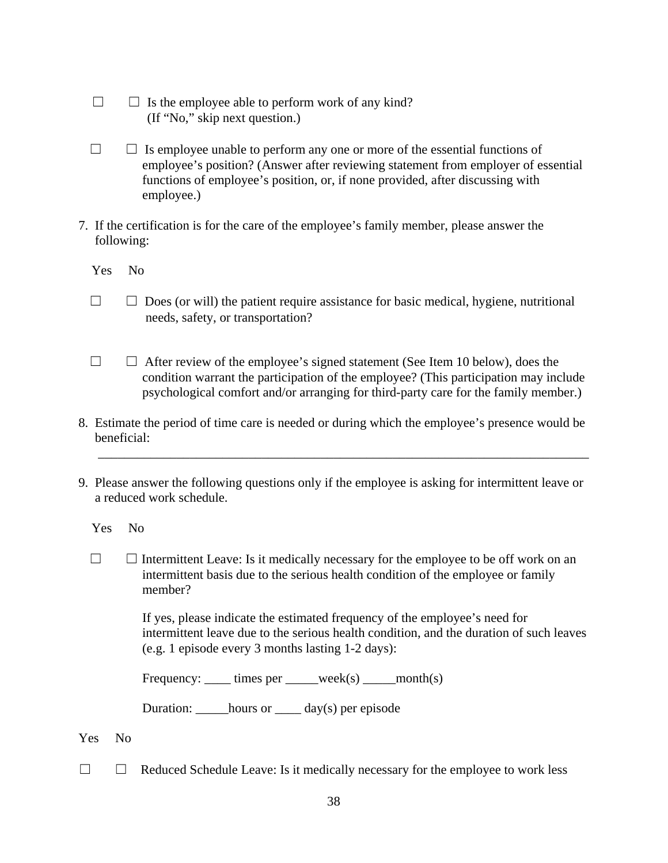- $\Box$  Is the employee able to perform work of any kind? (If "No," skip next question.)
- $\Box$   $\Box$  Is employee unable to perform any one or more of the essential functions of employee's position? (Answer after reviewing statement from employer of essential functions of employee's position, or, if none provided, after discussing with employee.)
- 7. If the certification is for the care of the employee's family member, please answer the following:

Yes No

- $\Box$   $\Box$  Does (or will) the patient require assistance for basic medical, hygiene, nutritional needs, safety, or transportation?
- $\Box$   $\Box$  After review of the employee's signed statement (See Item 10 below), does the condition warrant the participation of the employee? (This participation may include psychological comfort and/or arranging for third-party care for the family member.)
- 8. Estimate the period of time care is needed or during which the employee's presence would be beneficial:

\_\_\_\_\_\_\_\_\_\_\_\_\_\_\_\_\_\_\_\_\_\_\_\_\_\_\_\_\_\_\_\_\_\_\_\_\_\_\_\_\_\_\_\_\_\_\_\_\_\_\_\_\_\_\_\_\_\_\_\_\_\_\_\_\_\_\_\_\_\_\_\_\_\_\_

9. Please answer the following questions only if the employee is asking for intermittent leave or a reduced work schedule.

Yes No

 $\Box$   $\Box$  Intermittent Leave: Is it medically necessary for the employee to be off work on an intermittent basis due to the serious health condition of the employee or family member?

> If yes, please indicate the estimated frequency of the employee's need for intermittent leave due to the serious health condition, and the duration of such leaves (e.g. 1 episode every 3 months lasting 1-2 days):

| Frequency: | times per | week(s) | month(s) |
|------------|-----------|---------|----------|
|------------|-----------|---------|----------|

Duration:  $hours or$  day(s) per episode

- Yes No
- ☐ ☐ Reduced Schedule Leave: Is it medically necessary for the employee to work less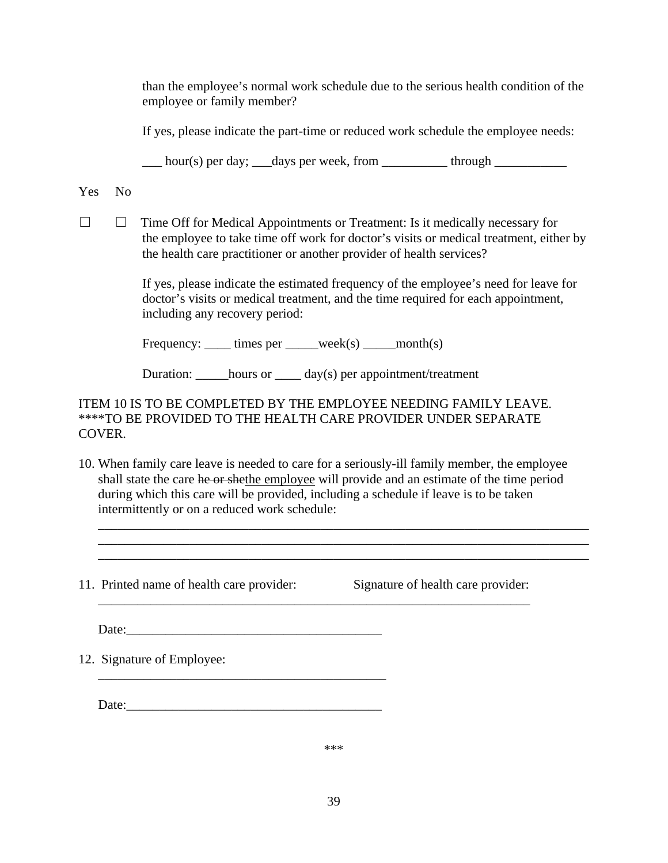than the employee's normal work schedule due to the serious health condition of the employee or family member?

If yes, please indicate the part-time or reduced work schedule the employee needs:

 $\frac{1}{\sqrt{2}}$  hour(s) per day;  $\frac{1}{\sqrt{2}}$  days per week, from  $\frac{1}{\sqrt{2}}$  through  $\frac{1}{\sqrt{2}}$ 

Yes No

☐ ☐ Time Off for Medical Appointments or Treatment: Is it medically necessary for the employee to take time off work for doctor's visits or medical treatment, either by the health care practitioner or another provider of health services?

> If yes, please indicate the estimated frequency of the employee's need for leave for doctor's visits or medical treatment, and the time required for each appointment, including any recovery period:

Frequency:  $times$  times per  $week(s)$  month(s)

Duration: \_\_\_\_\_hours or \_\_\_\_ day(s) per appointment/treatment

#### ITEM 10 IS TO BE COMPLETED BY THE EMPLOYEE NEEDING FAMILY LEAVE. \*\*\*\*TO BE PROVIDED TO THE HEALTH CARE PROVIDER UNDER SEPARATE COVER.

10. When family care leave is needed to care for a seriously-ill family member, the employee shall state the care he or shethe employee will provide and an estimate of the time period during which this care will be provided, including a schedule if leave is to be taken intermittently or on a reduced work schedule:

\_\_\_\_\_\_\_\_\_\_\_\_\_\_\_\_\_\_\_\_\_\_\_\_\_\_\_\_\_\_\_\_\_\_\_\_\_\_\_\_\_\_\_\_\_\_\_\_\_\_\_\_\_\_\_\_\_\_\_\_\_\_\_\_\_\_

\_\_\_\_\_\_\_\_\_\_\_\_\_\_\_\_\_\_\_\_\_\_\_\_\_\_\_\_\_\_\_\_\_\_\_\_\_\_\_\_\_\_\_\_\_\_\_\_\_\_\_\_\_\_\_\_\_\_\_\_\_\_\_\_\_\_\_\_\_\_\_\_\_\_\_ \_\_\_\_\_\_\_\_\_\_\_\_\_\_\_\_\_\_\_\_\_\_\_\_\_\_\_\_\_\_\_\_\_\_\_\_\_\_\_\_\_\_\_\_\_\_\_\_\_\_\_\_\_\_\_\_\_\_\_\_\_\_\_\_\_\_\_\_\_\_\_\_\_\_\_ \_\_\_\_\_\_\_\_\_\_\_\_\_\_\_\_\_\_\_\_\_\_\_\_\_\_\_\_\_\_\_\_\_\_\_\_\_\_\_\_\_\_\_\_\_\_\_\_\_\_\_\_\_\_\_\_\_\_\_\_\_\_\_\_\_\_\_\_\_\_\_\_\_\_\_

11. Printed name of health care provider: Signature of health care provider:

Date:

12. Signature of Employee:

 $Date:$ 

\_\_\_\_\_\_\_\_\_\_\_\_\_\_\_\_\_\_\_\_\_\_\_\_\_\_\_\_\_\_\_\_\_\_\_\_\_\_\_\_\_\_\_\_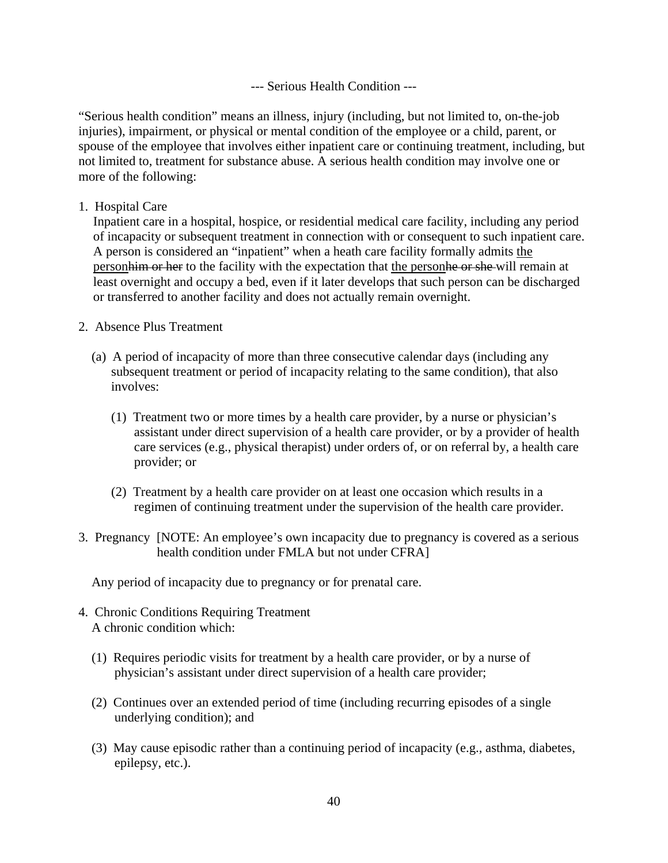--- Serious Health Condition ---

"Serious health condition" means an illness, injury (including, but not limited to, on-the-job injuries), impairment, or physical or mental condition of the employee or a child, parent, or spouse of the employee that involves either inpatient care or continuing treatment, including, but not limited to, treatment for substance abuse. A serious health condition may involve one or more of the following:

1. Hospital Care

Inpatient care in a hospital, hospice, or residential medical care facility, including any period of incapacity or subsequent treatment in connection with or consequent to such inpatient care. A person is considered an "inpatient" when a heath care facility formally admits the person him or her to the facility with the expectation that the person head or she will remain at least overnight and occupy a bed, even if it later develops that such person can be discharged or transferred to another facility and does not actually remain overnight.

- 2. Absence Plus Treatment
	- (a) A period of incapacity of more than three consecutive calendar days (including any subsequent treatment or period of incapacity relating to the same condition), that also involves:
		- (1) Treatment two or more times by a health care provider, by a nurse or physician's assistant under direct supervision of a health care provider, or by a provider of health care services (e.g., physical therapist) under orders of, or on referral by, a health care provider; or
		- (2) Treatment by a health care provider on at least one occasion which results in a regimen of continuing treatment under the supervision of the health care provider.
- 3. Pregnancy [NOTE: An employee's own incapacity due to pregnancy is covered as a serious health condition under FMLA but not under CFRA]

Any period of incapacity due to pregnancy or for prenatal care.

- 4. Chronic Conditions Requiring Treatment A chronic condition which:
	- (1) Requires periodic visits for treatment by a health care provider, or by a nurse of physician's assistant under direct supervision of a health care provider;
	- (2) Continues over an extended period of time (including recurring episodes of a single underlying condition); and
	- (3) May cause episodic rather than a continuing period of incapacity (e.g., asthma, diabetes, epilepsy, etc.).